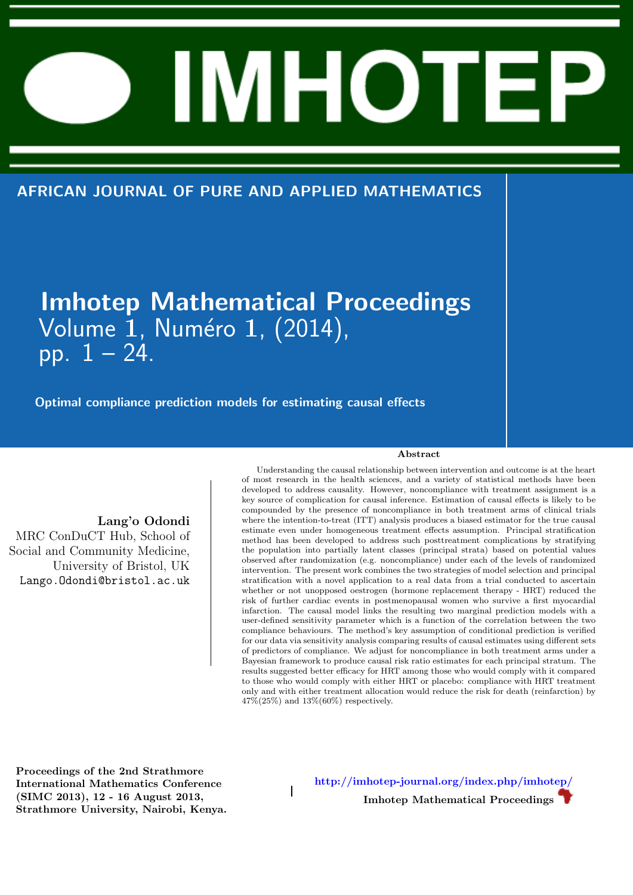AFRICAN JOURNAL OF PURE AND APPLIED MATHEMATICS

# Imhotep Mathematical Proceedings Volume 1, Numéro 1, (2014),  $p$ pp.  $1 - 24$ .

 $\overline{1}$ 

Optimal compliance prediction models for estimating causal effects

Lang'o Odondi

MRC ConDuCT Hub, School of Social and Community Medicine, University of Bristol, UK Lango.Odondi@bristol.ac.uk

 $\sim$  and  $\sim$   $\sim$   $\sim$   $\sim$ 

Understanding the causal relationship between intervention and outcome is at the heart of most research in the health sciences, and a variety of statistical methods have been developed to address causality. However, noncompliance with treatment assignment is a key source of complication for causal inference. Estimation of causal effects is likely to be compounded by the presence of noncompliance in both treatment arms of clinical trials where the intention-to-treat (ITT) analysis produces a biased estimator for the true causal estimate even under homogeneous treatment effects assumption. Principal stratification method has been developed to address such posttreatment complications by stratifying the population into partially latent classes (principal strata) based on potential values observed after randomization (e.g. noncompliance) under each of the levels of randomized intervention. The present work combines the two strategies of model selection and principal stratification with a novel application to a real data from a trial conducted to ascertain whether or not unopposed oestrogen (hormone replacement therapy - HRT) reduced the risk of further cardiac events in postmenopausal women who survive a first myocardial infarction. The causal model links the resulting two marginal prediction models with a user-defined sensitivity parameter which is a function of the correlation between the two compliance behaviours. The method's key assumption of conditional prediction is verified for our data via sensitivity analysis comparing results of causal estimates using different sets of predictors of compliance. We adjust for noncompliance in both treatment arms under a Bayesian framework to produce causal risk ratio estimates for each principal stratum. The results suggested better efficacy for HRT among those who would comply with it compared to those who would comply with either HRT or placebo: compliance with HRT treatment only and with either treatment allocation would reduce the risk for death (reinfarction) by 47%(25%) and 13%(60%) respectively.

Proceedings of the 2nd Strathmore International Mathematics Conference (SIMC 2013), 12 - 16 August 2013, Strathmore University, Nairobi, Kenya.

http://imhotep-journal.org/index.php/imhotep/ Imhotep Mathematical Proceedings

Abstract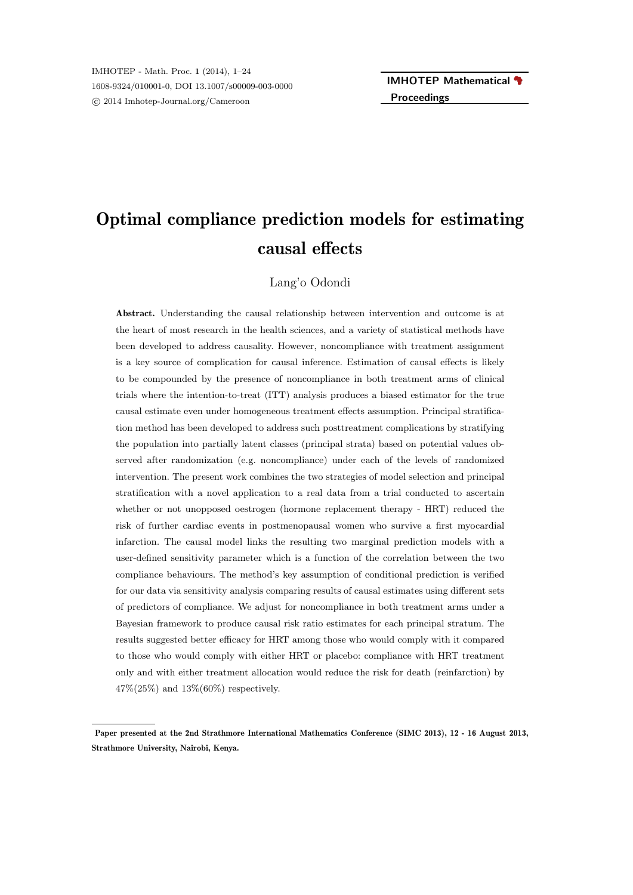# Optimal compliance prediction models for estimating causal effects

Lang'o Odondi

Abstract. Understanding the causal relationship between intervention and outcome is at the heart of most research in the health sciences, and a variety of statistical methods have been developed to address causality. However, noncompliance with treatment assignment is a key source of complication for causal inference. Estimation of causal effects is likely to be compounded by the presence of noncompliance in both treatment arms of clinical trials where the intention-to-treat (ITT) analysis produces a biased estimator for the true causal estimate even under homogeneous treatment effects assumption. Principal stratification method has been developed to address such posttreatment complications by stratifying the population into partially latent classes (principal strata) based on potential values observed after randomization (e.g. noncompliance) under each of the levels of randomized intervention. The present work combines the two strategies of model selection and principal stratification with a novel application to a real data from a trial conducted to ascertain whether or not unopposed oestrogen (hormone replacement therapy - HRT) reduced the risk of further cardiac events in postmenopausal women who survive a first myocardial infarction. The causal model links the resulting two marginal prediction models with a user-defined sensitivity parameter which is a function of the correlation between the two compliance behaviours. The method's key assumption of conditional prediction is verified for our data via sensitivity analysis comparing results of causal estimates using different sets of predictors of compliance. We adjust for noncompliance in both treatment arms under a Bayesian framework to produce causal risk ratio estimates for each principal stratum. The results suggested better efficacy for HRT among those who would comply with it compared to those who would comply with either HRT or placebo: compliance with HRT treatment only and with either treatment allocation would reduce the risk for death (reinfarction) by 47%(25%) and 13%(60%) respectively.

Paper presented at the 2nd Strathmore International Mathematics Conference (SIMC 2013), 12 - 16 August 2013, Strathmore University, Nairobi, Kenya.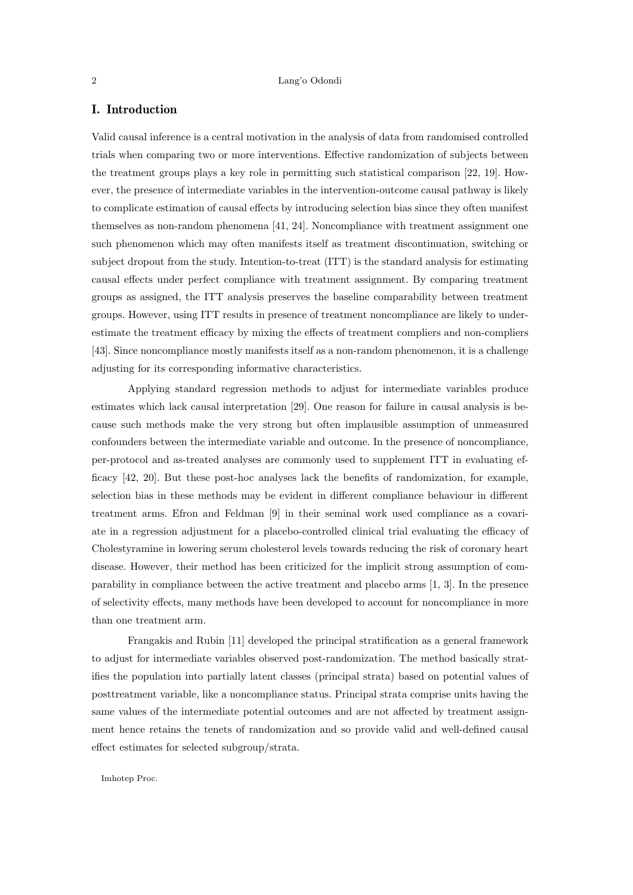# I. Introduction

Valid causal inference is a central motivation in the analysis of data from randomised controlled trials when comparing two or more interventions. Effective randomization of subjects between the treatment groups plays a key role in permitting such statistical comparison [22, 19]. However, the presence of intermediate variables in the intervention-outcome causal pathway is likely to complicate estimation of causal effects by introducing selection bias since they often manifest themselves as non-random phenomena [41, 24]. Noncompliance with treatment assignment one such phenomenon which may often manifests itself as treatment discontinuation, switching or subject dropout from the study. Intention-to-treat (ITT) is the standard analysis for estimating causal effects under perfect compliance with treatment assignment. By comparing treatment groups as assigned, the ITT analysis preserves the baseline comparability between treatment groups. However, using ITT results in presence of treatment noncompliance are likely to underestimate the treatment efficacy by mixing the effects of treatment compliers and non-compliers [43]. Since noncompliance mostly manifests itself as a non-random phenomenon, it is a challenge adjusting for its corresponding informative characteristics.

Applying standard regression methods to adjust for intermediate variables produce estimates which lack causal interpretation [29]. One reason for failure in causal analysis is because such methods make the very strong but often implausible assumption of unmeasured confounders between the intermediate variable and outcome. In the presence of noncompliance, per-protocol and as-treated analyses are commonly used to supplement ITT in evaluating efficacy [42, 20]. But these post-hoc analyses lack the benefits of randomization, for example, selection bias in these methods may be evident in different compliance behaviour in different treatment arms. Efron and Feldman [9] in their seminal work used compliance as a covariate in a regression adjustment for a placebo-controlled clinical trial evaluating the efficacy of Cholestyramine in lowering serum cholesterol levels towards reducing the risk of coronary heart disease. However, their method has been criticized for the implicit strong assumption of comparability in compliance between the active treatment and placebo arms [1, 3]. In the presence of selectivity effects, many methods have been developed to account for noncompliance in more than one treatment arm.

Frangakis and Rubin [11] developed the principal stratification as a general framework to adjust for intermediate variables observed post-randomization. The method basically stratifies the population into partially latent classes (principal strata) based on potential values of posttreatment variable, like a noncompliance status. Principal strata comprise units having the same values of the intermediate potential outcomes and are not affected by treatment assignment hence retains the tenets of randomization and so provide valid and well-defined causal effect estimates for selected subgroup/strata.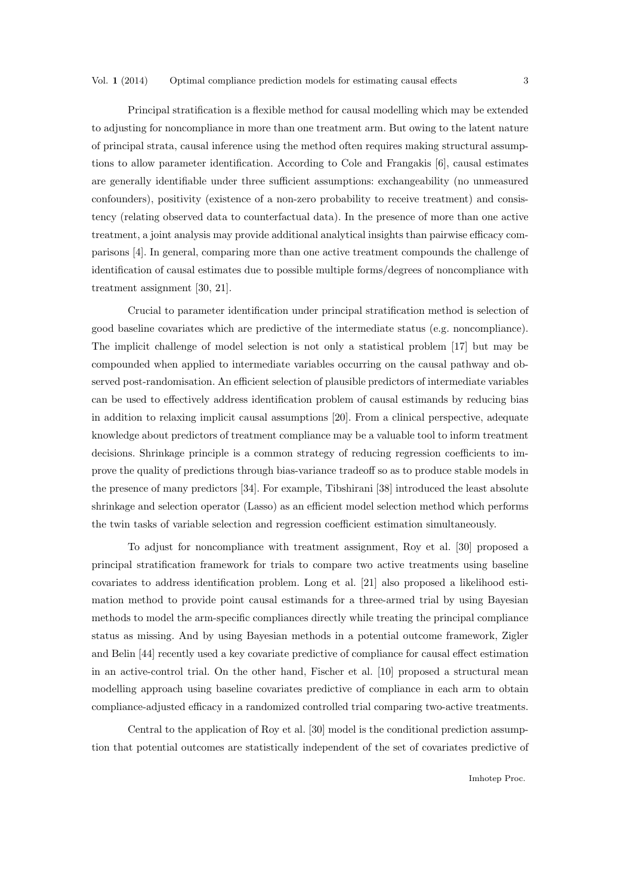Principal stratification is a flexible method for causal modelling which may be extended to adjusting for noncompliance in more than one treatment arm. But owing to the latent nature of principal strata, causal inference using the method often requires making structural assumptions to allow parameter identification. According to Cole and Frangakis [6], causal estimates are generally identifiable under three sufficient assumptions: exchangeability (no unmeasured confounders), positivity (existence of a non-zero probability to receive treatment) and consistency (relating observed data to counterfactual data). In the presence of more than one active treatment, a joint analysis may provide additional analytical insights than pairwise efficacy comparisons [4]. In general, comparing more than one active treatment compounds the challenge of identification of causal estimates due to possible multiple forms/degrees of noncompliance with treatment assignment [30, 21].

Crucial to parameter identification under principal stratification method is selection of good baseline covariates which are predictive of the intermediate status (e.g. noncompliance). The implicit challenge of model selection is not only a statistical problem [17] but may be compounded when applied to intermediate variables occurring on the causal pathway and observed post-randomisation. An efficient selection of plausible predictors of intermediate variables can be used to effectively address identification problem of causal estimands by reducing bias in addition to relaxing implicit causal assumptions [20]. From a clinical perspective, adequate knowledge about predictors of treatment compliance may be a valuable tool to inform treatment decisions. Shrinkage principle is a common strategy of reducing regression coefficients to improve the quality of predictions through bias-variance tradeoff so as to produce stable models in the presence of many predictors [34]. For example, Tibshirani [38] introduced the least absolute shrinkage and selection operator (Lasso) as an efficient model selection method which performs the twin tasks of variable selection and regression coefficient estimation simultaneously.

To adjust for noncompliance with treatment assignment, Roy et al. [30] proposed a principal stratification framework for trials to compare two active treatments using baseline covariates to address identification problem. Long et al. [21] also proposed a likelihood estimation method to provide point causal estimands for a three-armed trial by using Bayesian methods to model the arm-specific compliances directly while treating the principal compliance status as missing. And by using Bayesian methods in a potential outcome framework, Zigler and Belin [44] recently used a key covariate predictive of compliance for causal effect estimation in an active-control trial. On the other hand, Fischer et al. [10] proposed a structural mean modelling approach using baseline covariates predictive of compliance in each arm to obtain compliance-adjusted efficacy in a randomized controlled trial comparing two-active treatments.

Central to the application of Roy et al. [30] model is the conditional prediction assumption that potential outcomes are statistically independent of the set of covariates predictive of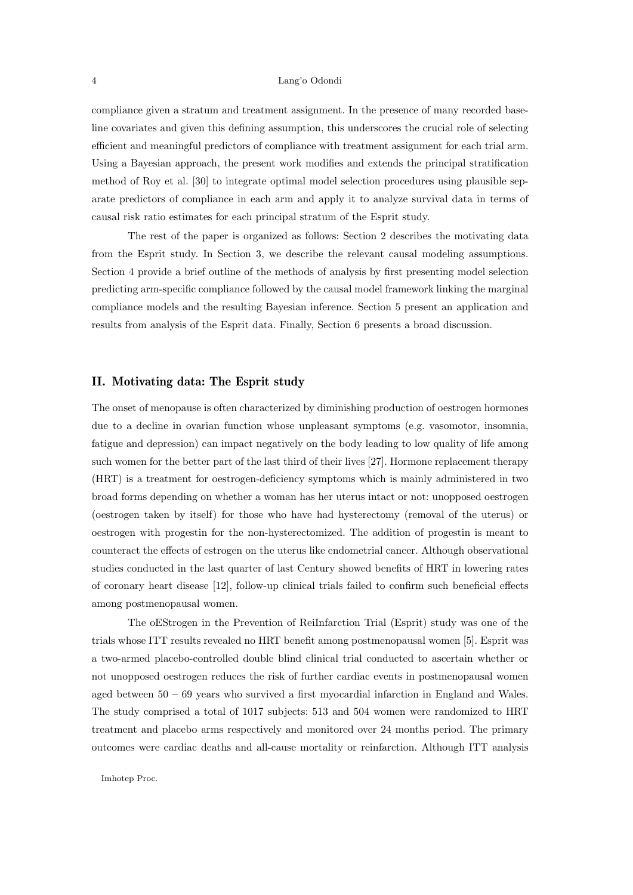compliance given a stratum and treatment assignment. In the presence of many recorded baseline covariates and given this defining assumption, this underscores the crucial role of selecting efficient and meaningful predictors of compliance with treatment assignment for each trial arm. Using a Bayesian approach, the present work modifies and extends the principal stratification method of Roy et al. [30] to integrate optimal model selection procedures using plausible separate predictors of compliance in each arm and apply it to analyze survival data in terms of causal risk ratio estimates for each principal stratum of the Esprit study.

The rest of the paper is organized as follows: Section 2 describes the motivating data from the Esprit study. In Section 3, we describe the relevant causal modeling assumptions. Section 4 provide a brief outline of the methods of analysis by first presenting model selection predicting arm-specific compliance followed by the causal model framework linking the marginal compliance models and the resulting Bayesian inference. Section 5 present an application and results from analysis of the Esprit data. Finally, Section 6 presents a broad discussion.

# II. Motivating data: The Esprit study

The onset of menopause is often characterized by diminishing production of oestrogen hormones due to a decline in ovarian function whose unpleasant symptoms (e.g. vasomotor, insomnia, fatigue and depression) can impact negatively on the body leading to low quality of life among such women for the better part of the last third of their lives [27]. Hormone replacement therapy (HRT) is a treatment for oestrogen-deficiency symptoms which is mainly administered in two broad forms depending on whether a woman has her uterus intact or not: unopposed oestrogen (oestrogen taken by itself) for those who have had hysterectomy (removal of the uterus) or oestrogen with progestin for the non-hysterectomized. The addition of progestin is meant to counteract the effects of estrogen on the uterus like endometrial cancer. Although observational studies conducted in the last quarter of last Century showed benefits of HRT in lowering rates of coronary heart disease [12], follow-up clinical trials failed to confirm such beneficial effects among postmenopausal women.

The oEStrogen in the Prevention of ReiInfarction Trial (Esprit) study was one of the trials whose ITT results revealed no HRT benefit among postmenopausal women [5]. Esprit was a two-armed placebo-controlled double blind clinical trial conducted to ascertain whether or not unopposed oestrogen reduces the risk of further cardiac events in postmenopausal women aged between 50 − 69 years who survived a first myocardial infarction in England and Wales. The study comprised a total of 1017 subjects: 513 and 504 women were randomized to HRT treatment and placebo arms respectively and monitored over 24 months period. The primary outcomes were cardiac deaths and all-cause mortality or reinfarction. Although ITT analysis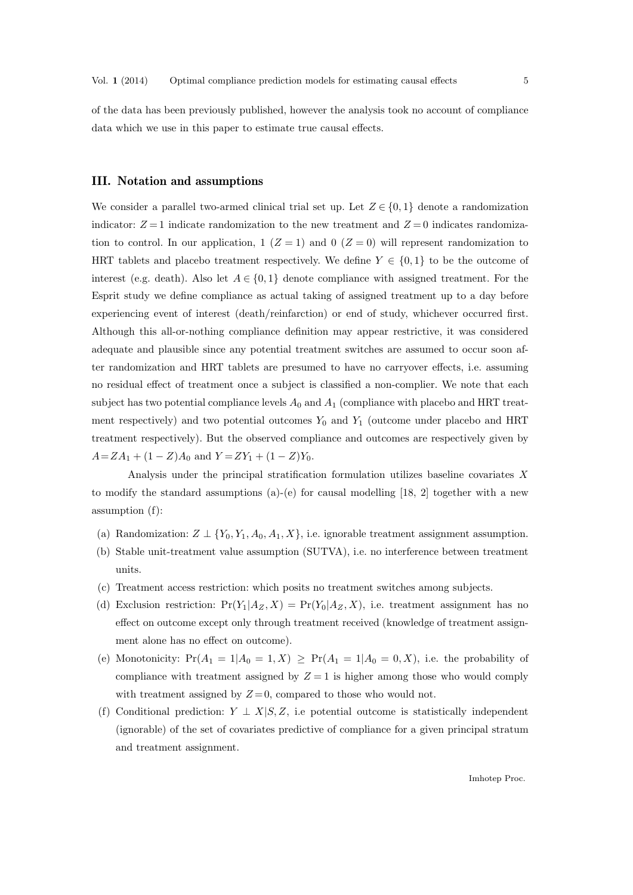of the data has been previously published, however the analysis took no account of compliance data which we use in this paper to estimate true causal effects.

# III. Notation and assumptions

We consider a parallel two-armed clinical trial set up. Let  $Z \in \{0,1\}$  denote a randomization indicator:  $Z = 1$  indicate randomization to the new treatment and  $Z = 0$  indicates randomization to control. In our application, 1  $(Z = 1)$  and 0  $(Z = 0)$  will represent randomization to HRT tablets and placebo treatment respectively. We define  $Y \in \{0,1\}$  to be the outcome of interest (e.g. death). Also let  $A \in \{0,1\}$  denote compliance with assigned treatment. For the Esprit study we define compliance as actual taking of assigned treatment up to a day before experiencing event of interest (death/reinfarction) or end of study, whichever occurred first. Although this all-or-nothing compliance definition may appear restrictive, it was considered adequate and plausible since any potential treatment switches are assumed to occur soon after randomization and HRT tablets are presumed to have no carryover effects, i.e. assuming no residual effect of treatment once a subject is classified a non-complier. We note that each subject has two potential compliance levels  $A_0$  and  $A_1$  (compliance with placebo and HRT treatment respectively) and two potential outcomes  $Y_0$  and  $Y_1$  (outcome under placebo and HRT treatment respectively). But the observed compliance and outcomes are respectively given by  $A = ZA_1 + (1 - Z)A_0$  and  $Y = ZY_1 + (1 - Z)Y_0$ .

Analysis under the principal stratification formulation utilizes baseline covariates X to modify the standard assumptions (a)-(e) for causal modelling [18, 2] together with a new assumption (f):

- (a) Randomization:  $Z \perp \{Y_0, Y_1, A_0, A_1, X\}$ , i.e. ignorable treatment assignment assumption.
- (b) Stable unit-treatment value assumption (SUTVA), i.e. no interference between treatment units.
- (c) Treatment access restriction: which posits no treatment switches among subjects.
- (d) Exclusion restriction:  $Pr(Y_1|A_Z, X) = Pr(Y_0|A_Z, X)$ , i.e. treatment assignment has no effect on outcome except only through treatment received (knowledge of treatment assignment alone has no effect on outcome).
- (e) Monotonicity:  $Pr(A_1 = 1 | A_0 = 1, X) \geq Pr(A_1 = 1 | A_0 = 0, X)$ , i.e. the probability of compliance with treatment assigned by  $Z = 1$  is higher among those who would comply with treatment assigned by  $Z=0$ , compared to those who would not.
- (f) Conditional prediction:  $Y \perp X|S, Z$ , i.e potential outcome is statistically independent (ignorable) of the set of covariates predictive of compliance for a given principal stratum and treatment assignment.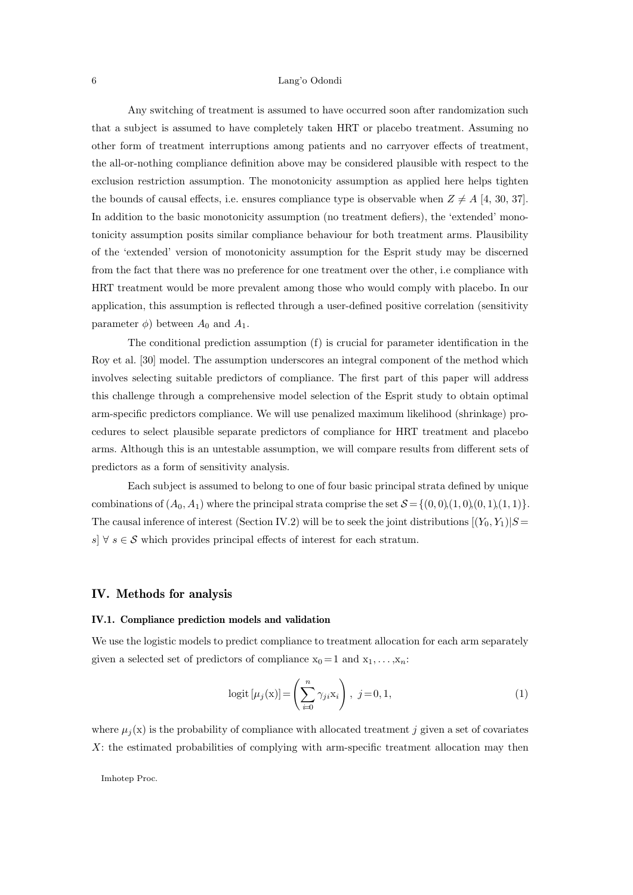Any switching of treatment is assumed to have occurred soon after randomization such that a subject is assumed to have completely taken HRT or placebo treatment. Assuming no other form of treatment interruptions among patients and no carryover effects of treatment, the all-or-nothing compliance definition above may be considered plausible with respect to the exclusion restriction assumption. The monotonicity assumption as applied here helps tighten the bounds of causal effects, i.e. ensures compliance type is observable when  $Z \neq A$  [4, 30, 37]. In addition to the basic monotonicity assumption (no treatment defiers), the 'extended' monotonicity assumption posits similar compliance behaviour for both treatment arms. Plausibility of the 'extended' version of monotonicity assumption for the Esprit study may be discerned from the fact that there was no preference for one treatment over the other, i.e compliance with HRT treatment would be more prevalent among those who would comply with placebo. In our application, this assumption is reflected through a user-defined positive correlation (sensitivity parameter  $\phi$ ) between  $A_0$  and  $A_1$ .

The conditional prediction assumption (f) is crucial for parameter identification in the Roy et al. [30] model. The assumption underscores an integral component of the method which involves selecting suitable predictors of compliance. The first part of this paper will address this challenge through a comprehensive model selection of the Esprit study to obtain optimal arm-specific predictors compliance. We will use penalized maximum likelihood (shrinkage) procedures to select plausible separate predictors of compliance for HRT treatment and placebo arms. Although this is an untestable assumption, we will compare results from different sets of predictors as a form of sensitivity analysis.

Each subject is assumed to belong to one of four basic principal strata defined by unique combinations of  $(A_0, A_1)$  where the principal strata comprise the set  $S = \{(0, 0), (1, 0), (0, 1), (1, 1)\}.$ The causal inference of interest (Section IV.2) will be to seek the joint distributions  $[(Y_0, Y_1)|S]$ s]  $\forall s \in \mathcal{S}$  which provides principal effects of interest for each stratum.

# IV. Methods for analysis

# IV.1. Compliance prediction models and validation

We use the logistic models to predict compliance to treatment allocation for each arm separately given a selected set of predictors of compliance  $x_0 = 1$  and  $x_1, \ldots, x_n$ :

$$
logit \left[ \mu_j(\mathbf{x}) \right] = \left( \sum_{i=0}^n \gamma_{ji} \mathbf{x}_i \right), \ j = 0, 1,
$$
\n(1)

where  $\mu_i(x)$  is the probability of compliance with allocated treatment j given a set of covariates X: the estimated probabilities of complying with arm-specific treatment allocation may then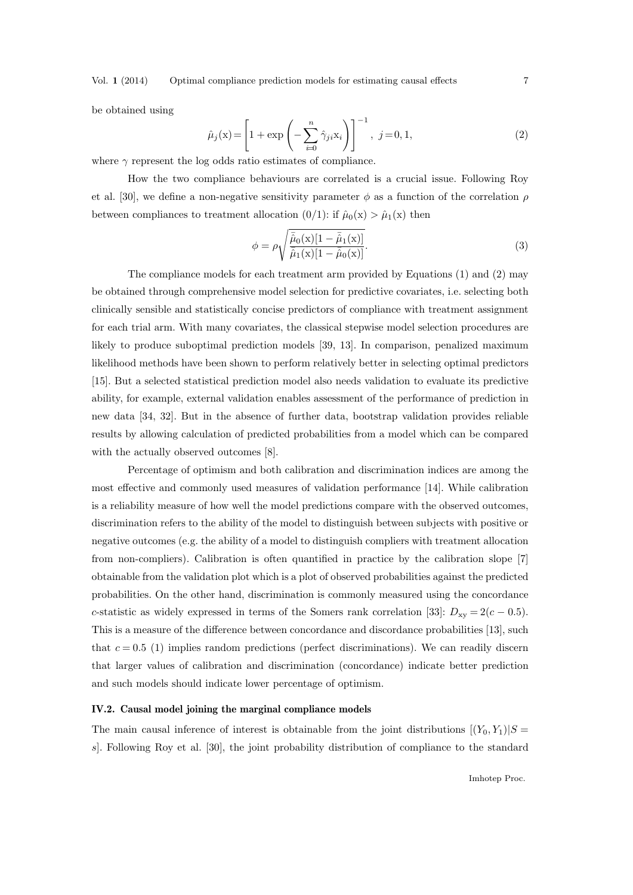Vol. 1 (2014) Optimal compliance prediction models for estimating causal effects 7

be obtained using

$$
\hat{\mu}_j(\mathbf{x}) = \left[1 + \exp\left(-\sum_{i=0}^n \hat{\gamma}_{ji}\mathbf{x}_i\right)\right]^{-1}, \ j = 0, 1,\tag{2}
$$

where  $\gamma$  represent the log odds ratio estimates of compliance.

How the two compliance behaviours are correlated is a crucial issue. Following Roy et al. [30], we define a non-negative sensitivity parameter  $\phi$  as a function of the correlation  $\rho$ between compliances to treatment allocation  $(0/1)$ : if  $\hat{\mu}_0(x) > \hat{\mu}_1(x)$  then

$$
\phi = \rho \sqrt{\frac{\bar{\hat{\mu}}_0(\mathbf{x})[1 - \bar{\hat{\mu}}_1(\mathbf{x})]}{\bar{\hat{\mu}}_1(\mathbf{x})[1 - \bar{\hat{\mu}}_0(\mathbf{x})]}}.
$$
\n(3)

The compliance models for each treatment arm provided by Equations (1) and (2) may be obtained through comprehensive model selection for predictive covariates, i.e. selecting both clinically sensible and statistically concise predictors of compliance with treatment assignment for each trial arm. With many covariates, the classical stepwise model selection procedures are likely to produce suboptimal prediction models [39, 13]. In comparison, penalized maximum likelihood methods have been shown to perform relatively better in selecting optimal predictors [15]. But a selected statistical prediction model also needs validation to evaluate its predictive ability, for example, external validation enables assessment of the performance of prediction in new data [34, 32]. But in the absence of further data, bootstrap validation provides reliable results by allowing calculation of predicted probabilities from a model which can be compared with the actually observed outcomes [8].

Percentage of optimism and both calibration and discrimination indices are among the most effective and commonly used measures of validation performance [14]. While calibration is a reliability measure of how well the model predictions compare with the observed outcomes, discrimination refers to the ability of the model to distinguish between subjects with positive or negative outcomes (e.g. the ability of a model to distinguish compliers with treatment allocation from non-compliers). Calibration is often quantified in practice by the calibration slope [7] obtainable from the validation plot which is a plot of observed probabilities against the predicted probabilities. On the other hand, discrimination is commonly measured using the concordance c-statistic as widely expressed in terms of the Somers rank correlation [33]:  $D_{xy} = 2(c - 0.5)$ . This is a measure of the difference between concordance and discordance probabilities [13], such that  $c = 0.5$  (1) implies random predictions (perfect discriminations). We can readily discern that larger values of calibration and discrimination (concordance) indicate better prediction and such models should indicate lower percentage of optimism.

## IV.2. Causal model joining the marginal compliance models

The main causal inference of interest is obtainable from the joint distributions  $[(Y_0, Y_1)|S]$ s]. Following Roy et al. [30], the joint probability distribution of compliance to the standard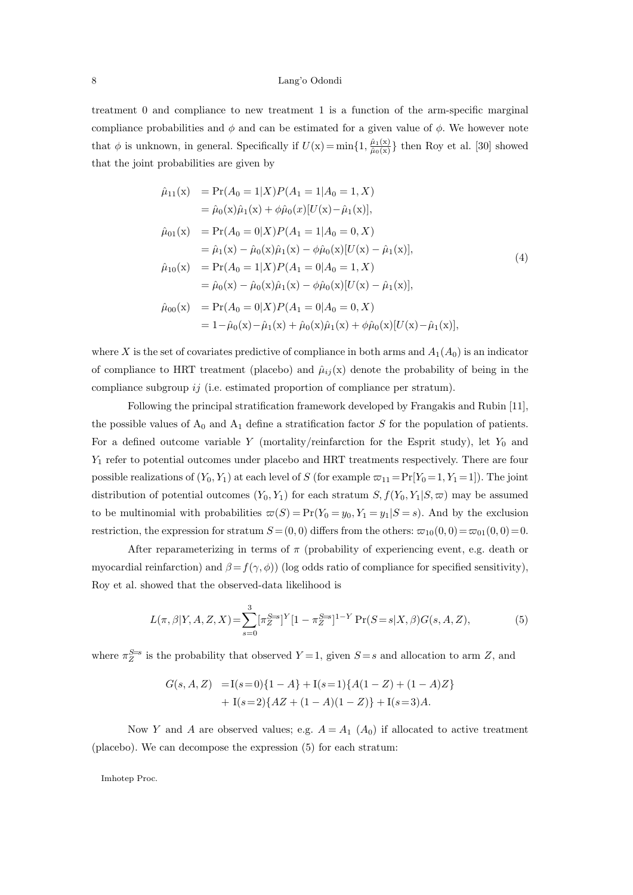treatment 0 and compliance to new treatment 1 is a function of the arm-specific marginal compliance probabilities and  $\phi$  and can be estimated for a given value of  $\phi$ . We however note that  $\phi$  is unknown, in general. Specifically if  $U(x) = \min\{1, \frac{\hat{\mu}_1(x)}{\hat{\mu}_0(x)}\}$  then Roy et al. [30] showed that the joint probabilities are given by

$$
\hat{\mu}_{11}(x) = Pr(A_0 = 1|X)P(A_1 = 1|A_0 = 1, X) \n= \hat{\mu}_0(x)\hat{\mu}_1(x) + \phi\hat{\mu}_0(x)[U(x) - \hat{\mu}_1(x)], \n\hat{\mu}_{01}(x) = Pr(A_0 = 0|X)P(A_1 = 1|A_0 = 0, X) \n= \hat{\mu}_1(x) - \hat{\mu}_0(x)\hat{\mu}_1(x) - \phi\hat{\mu}_0(x)[U(x) - \hat{\mu}_1(x)], \n\hat{\mu}_{10}(x) = Pr(A_0 = 1|X)P(A_1 = 0|A_0 = 1, X) \n= \hat{\mu}_0(x) - \hat{\mu}_0(x)\hat{\mu}_1(x) - \phi\hat{\mu}_0(x)[U(x) - \hat{\mu}_1(x)], \n\hat{\mu}_{00}(x) = Pr(A_0 = 0|X)P(A_1 = 0|A_0 = 0, X) \n= 1 - \hat{\mu}_0(x) - \hat{\mu}_1(x) + \hat{\mu}_0(x)\hat{\mu}_1(x) + \phi\hat{\mu}_0(x)[U(x) - \hat{\mu}_1(x)],
$$
\n(10)

where X is the set of covariates predictive of compliance in both arms and  $A_1(A_0)$  is an indicator of compliance to HRT treatment (placebo) and  $\hat{\mu}_{ij}(x)$  denote the probability of being in the compliance subgroup ij (i.e. estimated proportion of compliance per stratum).

Following the principal stratification framework developed by Frangakis and Rubin [11], the possible values of  $A_0$  and  $A_1$  define a stratification factor S for the population of patients. For a defined outcome variable Y (mortality/reinfarction for the Esprit study), let  $Y_0$  and Y<sup>1</sup> refer to potential outcomes under placebo and HRT treatments respectively. There are four possible realizations of  $(Y_0, Y_1)$  at each level of S (for example  $\varpi_{11} = Pr[Y_0 = 1, Y_1 = 1]$ ). The joint distribution of potential outcomes  $(Y_0, Y_1)$  for each stratum  $S, f(Y_0, Y_1|S, \varpi)$  may be assumed to be multinomial with probabilities  $\varpi(S) = \Pr(Y_0 = y_0, Y_1 = y_1 | S = s)$ . And by the exclusion restriction, the expression for stratum  $S = (0, 0)$  differs from the others:  $\varpi_{10}(0, 0) = \varpi_{01}(0, 0) = 0$ .

After reparameterizing in terms of  $\pi$  (probability of experiencing event, e.g. death or myocardial reinfarction) and  $\beta = f(\gamma, \phi)$  (log odds ratio of compliance for specified sensitivity), Roy et al. showed that the observed-data likelihood is

$$
L(\pi, \beta | Y, A, Z, X) = \sum_{s=0}^{3} [\pi_Z^{S=s}]^{Y} [1 - \pi_Z^{S=s}]^{1-Y} \Pr(S = s | X, \beta) G(s, A, Z),
$$
 (5)

where  $\pi_{Z}^{S=s}$  is the probability that observed  $Y=1$ , given  $S=s$  and allocation to arm Z, and

$$
G(s, A, Z) = I(s=0)\{1-A\} + I(s=1)\{A(1-Z) + (1-A)Z\}
$$
  
+ I(s=2)\{AZ + (1-A)(1-Z)\} + I(s=3)A.

Now Y and A are observed values; e.g.  $A = A_1$  ( $A_0$ ) if allocated to active treatment (placebo). We can decompose the expression (5) for each stratum: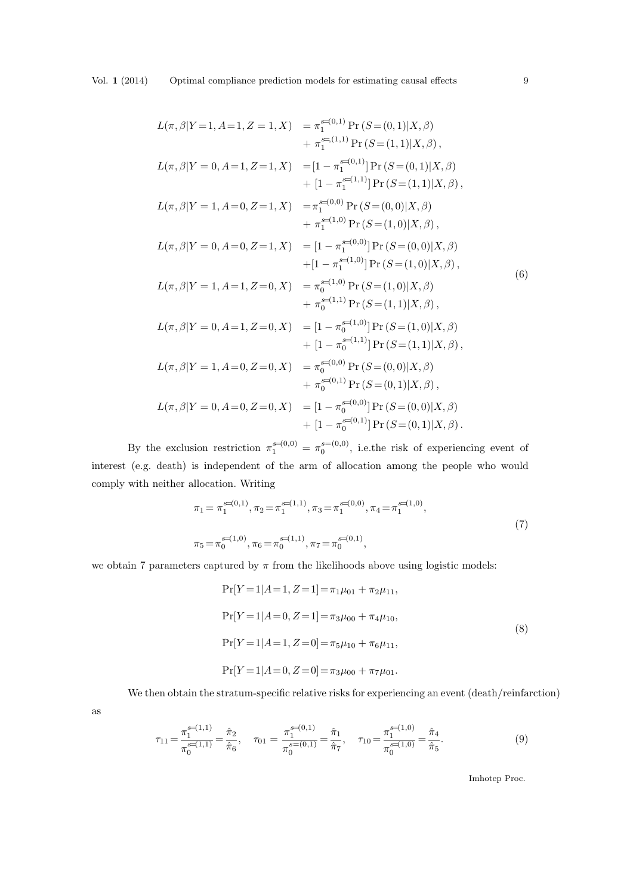$$
L(\pi, \beta|Y=1, A=1, Z=1, X) = \pi_1^{s=(0,1)} \Pr(S=(0,1)|X, \beta)
$$
  
\n
$$
+ \pi_1^{s=(1,1)} \Pr(S=(1,1)|X, \beta),
$$
  
\n
$$
L(\pi, \beta|Y=0, A=1, Z=1, X) = [1 - \pi_1^{s=(0,1)}] \Pr(S=(0,1)|X, \beta)
$$
  
\n
$$
+ [1 - \pi_1^{s=(1,1)}] \Pr(S=(1,1)|X, \beta),
$$
  
\n
$$
L(\pi, \beta|Y=1, A=0, Z=1, X) = \pi_1^{s=(0,0)} \Pr(S=(0,0)|X, \beta)
$$
  
\n
$$
+ \pi_1^{s=(1,0)} \Pr(S=(1,0)|X, \beta),
$$
  
\n
$$
L(\pi, \beta|Y=0, A=0, Z=1, X) = [1 - \pi_1^{s=(0,0)}] \Pr(S=(0,0)|X, \beta)
$$
  
\n
$$
+ [1 - \pi_1^{s=(1,0)}] \Pr(S=(1,0)|X, \beta),
$$
  
\n
$$
L(\pi, \beta|Y=1, A=1, Z=0, X) = \pi_0^{s=(1,0)} \Pr(S=(1,0)|X, \beta)
$$
  
\n
$$
+ \pi_0^{s=(1,1)} \Pr(S=(1,1)|X, \beta),
$$
  
\n
$$
L(\pi, \beta|Y=0, A=1, Z=0, X) = [1 - \pi_0^{s=(1,0)}] \Pr(S=(1,0)|X, \beta)
$$
  
\n
$$
+ [1 - \pi_0^{s=(1,1)}] \Pr(S=(1,1)|X, \beta),
$$
  
\n
$$
L(\pi, \beta|Y=1, A=0, Z=0, X) = \pi_0^{s=(0,0)} \Pr(S=(0,0)|X, \beta)
$$
  
\n
$$
+ \pi_0^{s=(0,1)} \Pr(S=(0,1)|X, \beta),
$$
  
\n
$$
L(\pi, \beta|Y=0, A=0, Z=0, X) = [1 - \pi_0^{s=(0,0)}] \Pr(S=(0,0)|X, \beta)
$$
  
\n
$$
+ [1 - \pi_0^{s=(0,1)}]
$$

By the exclusion restriction  $\pi_1^{s=(0,0)} = \pi_0^{s=(0,0)}$ , i.e. the risk of experiencing event of interest (e.g. death) is independent of the arm of allocation among the people who would comply with neither allocation. Writing

$$
\pi_1 = \pi_1^{s=(0,1)}, \pi_2 = \pi_1^{s=(1,1)}, \pi_3 = \pi_1^{s=(0,0)}, \pi_4 = \pi_1^{s=(1,0)},
$$
  

$$
\pi_5 = \pi_0^{s=(1,0)}, \pi_6 = \pi_0^{s=(1,1)}, \pi_7 = \pi_0^{s=(0,1)},
$$
\n(7)

we obtain 7 parameters captured by  $\pi$  from the likelihoods above using logistic models:

$$
Pr[Y=1|A=1, Z=1] = \pi_1 \mu_{01} + \pi_2 \mu_{11},
$$
  
\n
$$
Pr[Y=1|A=0, Z=1] = \pi_3 \mu_{00} + \pi_4 \mu_{10},
$$
  
\n
$$
Pr[Y=1|A=1, Z=0] = \pi_5 \mu_{10} + \pi_6 \mu_{11},
$$
  
\n
$$
Pr[Y=1|A=0, Z=0] = \pi_3 \mu_{00} + \pi_7 \mu_{01}.
$$
  
\n(8)

We then obtain the stratum-specific relative risks for experiencing an event (death/reinfarction)

$$
\rm as
$$

$$
\tau_{11} = \frac{\pi_1^{\mathbf{s} = (1,1)}}{\pi_0^{\mathbf{s} = (1,1)}} = \frac{\hat{\pi}_2}{\hat{\pi}_6}, \quad \tau_{01} = \frac{\pi_1^{\mathbf{s} = (0,1)}}{\pi_0^{\mathbf{s} = (0,1)}} = \frac{\hat{\pi}_1}{\hat{\pi}_7}, \quad \tau_{10} = \frac{\pi_1^{\mathbf{s} = (1,0)}}{\pi_0^{\mathbf{s} = (1,0)}} = \frac{\hat{\pi}_4}{\hat{\pi}_5}.
$$
\n
$$
(9)
$$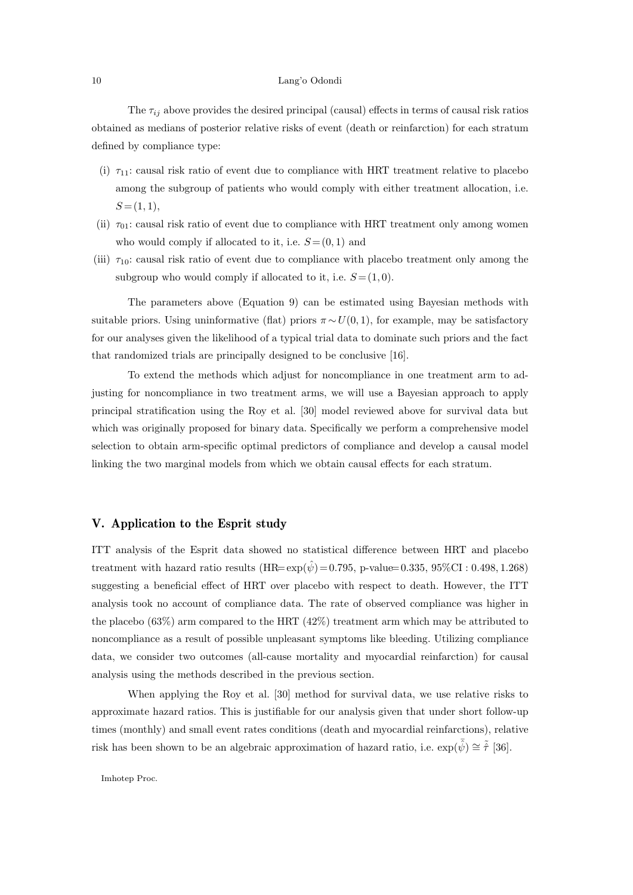The  $\tau_{ij}$  above provides the desired principal (causal) effects in terms of causal risk ratios obtained as medians of posterior relative risks of event (death or reinfarction) for each stratum defined by compliance type:

- (i)  $\tau_{11}$ : causal risk ratio of event due to compliance with HRT treatment relative to placebo among the subgroup of patients who would comply with either treatment allocation, i.e.  $S = (1, 1),$
- (ii)  $\tau_{01}$ : causal risk ratio of event due to compliance with HRT treatment only among women who would comply if allocated to it, i.e.  $S = (0, 1)$  and
- (iii)  $\tau_{10}$ : causal risk ratio of event due to compliance with placebo treatment only among the subgroup who would comply if allocated to it, i.e.  $S = (1, 0)$ .

The parameters above (Equation 9) can be estimated using Bayesian methods with suitable priors. Using uninformative (flat) priors  $\pi \sim U(0, 1)$ , for example, may be satisfactory for our analyses given the likelihood of a typical trial data to dominate such priors and the fact that randomized trials are principally designed to be conclusive [16].

To extend the methods which adjust for noncompliance in one treatment arm to adjusting for noncompliance in two treatment arms, we will use a Bayesian approach to apply principal stratification using the Roy et al. [30] model reviewed above for survival data but which was originally proposed for binary data. Specifically we perform a comprehensive model selection to obtain arm-specific optimal predictors of compliance and develop a causal model linking the two marginal models from which we obtain causal effects for each stratum.

# V. Application to the Esprit study

ITT analysis of the Esprit data showed no statistical difference between HRT and placebo treatment with hazard ratio results  $(HR= exp(\hat{\psi}) = 0.795, p-value= 0.335, 95\% CI : 0.498, 1.268)$ suggesting a beneficial effect of HRT over placebo with respect to death. However, the ITT analysis took no account of compliance data. The rate of observed compliance was higher in the placebo (63%) arm compared to the HRT (42%) treatment arm which may be attributed to noncompliance as a result of possible unpleasant symptoms like bleeding. Utilizing compliance data, we consider two outcomes (all-cause mortality and myocardial reinfarction) for causal analysis using the methods described in the previous section.

When applying the Roy et al. [30] method for survival data, we use relative risks to approximate hazard ratios. This is justifiable for our analysis given that under short follow-up times (monthly) and small event rates conditions (death and myocardial reinfarctions), relative risk has been shown to be an algebraic approximation of hazard ratio, i.e.  $\exp(\bar{\hat{\psi}}) \cong \tilde{\hat{\tau}}$  [36].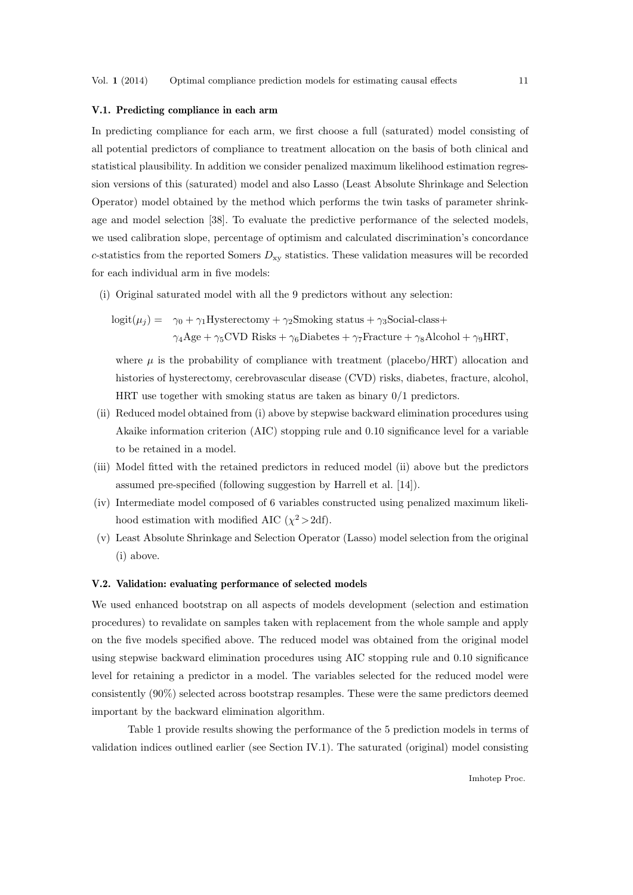## V.1. Predicting compliance in each arm

In predicting compliance for each arm, we first choose a full (saturated) model consisting of all potential predictors of compliance to treatment allocation on the basis of both clinical and statistical plausibility. In addition we consider penalized maximum likelihood estimation regression versions of this (saturated) model and also Lasso (Least Absolute Shrinkage and Selection Operator) model obtained by the method which performs the twin tasks of parameter shrinkage and model selection [38]. To evaluate the predictive performance of the selected models, we used calibration slope, percentage of optimism and calculated discrimination's concordance c-statistics from the reported Somers  $D_{xy}$  statistics. These validation measures will be recorded for each individual arm in five models:

(i) Original saturated model with all the 9 predictors without any selection:

$$
logit(\mu_j) = \gamma_0 + \gamma_1 Hysterectomy + \gamma_2 Smoking \text{ status} + \gamma_3 Social-class +
$$
  

$$
\gamma_4 Age + \gamma_5 CVD \text{ Risks} + \gamma_6 Diabetes + \gamma_7 Fracture + \gamma_8 Alcohol + \gamma_9 HRT,
$$

where  $\mu$  is the probability of compliance with treatment (placebo/HRT) allocation and histories of hysterectomy, cerebrovascular disease (CVD) risks, diabetes, fracture, alcohol, HRT use together with smoking status are taken as binary 0/1 predictors.

- (ii) Reduced model obtained from (i) above by stepwise backward elimination procedures using Akaike information criterion (AIC) stopping rule and 0.10 significance level for a variable to be retained in a model.
- (iii) Model fitted with the retained predictors in reduced model (ii) above but the predictors assumed pre-specified (following suggestion by Harrell et al. [14]).
- (iv) Intermediate model composed of 6 variables constructed using penalized maximum likelihood estimation with modified AIC  $(\chi^2 > 2df)$ .
- (v) Least Absolute Shrinkage and Selection Operator (Lasso) model selection from the original (i) above.

#### V.2. Validation: evaluating performance of selected models

We used enhanced bootstrap on all aspects of models development (selection and estimation procedures) to revalidate on samples taken with replacement from the whole sample and apply on the five models specified above. The reduced model was obtained from the original model using stepwise backward elimination procedures using AIC stopping rule and 0.10 significance level for retaining a predictor in a model. The variables selected for the reduced model were consistently (90%) selected across bootstrap resamples. These were the same predictors deemed important by the backward elimination algorithm.

Table 1 provide results showing the performance of the 5 prediction models in terms of validation indices outlined earlier (see Section IV.1). The saturated (original) model consisting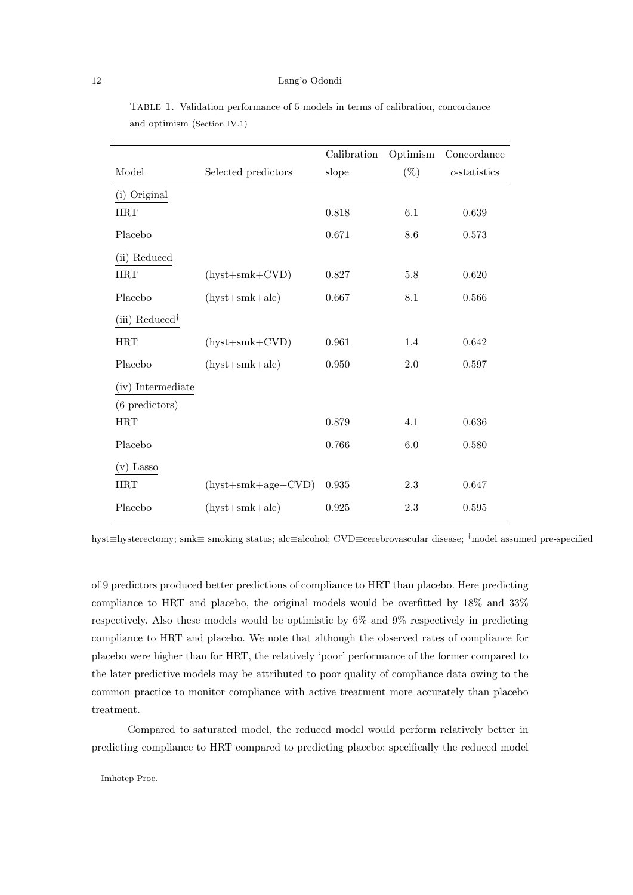|                            |                      | Calibration | Optimism | Concordance     |
|----------------------------|----------------------|-------------|----------|-----------------|
| Model                      | Selected predictors  | slope       | $(\%)$   | $c$ -statistics |
| (i) Original               |                      |             |          |                 |
| <b>HRT</b>                 |                      | 0.818       | 6.1      | 0.639           |
| Placebo                    |                      | 0.671       | 8.6      | 0.573           |
| (ii) Reduced               |                      |             |          |                 |
| <b>HRT</b>                 | $(hyst+smk+CVD)$     | 0.827       | 5.8      | 0.620           |
| Placebo                    | $(hyst+smk+alc)$     | 0.667       | 8.1      | 0.566           |
| (iii) Reduced <sup>†</sup> |                      |             |          |                 |
| <b>HRT</b>                 | $(hyst+smk+CVD)$     | 0.961       | 1.4      | 0.642           |
| Placebo                    | $(hyst+smk+alc)$     | 0.950       | 2.0      | 0.597           |
| (iv) Intermediate          |                      |             |          |                 |
| $(6$ predictors)           |                      |             |          |                 |
| <b>HRT</b>                 |                      | 0.879       | 4.1      | 0.636           |
| Placebo                    |                      | 0.766       | 6.0      | 0.580           |
| $(v)$ Lasso                |                      |             |          |                 |
| <b>HRT</b>                 | $(hyst+smk+age+CVD)$ | 0.935       | 2.3      | 0.647           |
| Placebo                    | $(hyst+smk+alc)$     | 0.925       | 2.3      | 0.595           |

Table 1. Validation performance of 5 models in terms of calibration, concordance and optimism (Section IV.1)

hyst≡hysterectomy; smk≡ smoking status; alc≡alcohol; CVD≡cerebrovascular disease; †model assumed pre-specified

of 9 predictors produced better predictions of compliance to HRT than placebo. Here predicting compliance to HRT and placebo, the original models would be overfitted by 18% and 33% respectively. Also these models would be optimistic by 6% and 9% respectively in predicting compliance to HRT and placebo. We note that although the observed rates of compliance for placebo were higher than for HRT, the relatively 'poor' performance of the former compared to the later predictive models may be attributed to poor quality of compliance data owing to the common practice to monitor compliance with active treatment more accurately than placebo treatment.

Compared to saturated model, the reduced model would perform relatively better in predicting compliance to HRT compared to predicting placebo: specifically the reduced model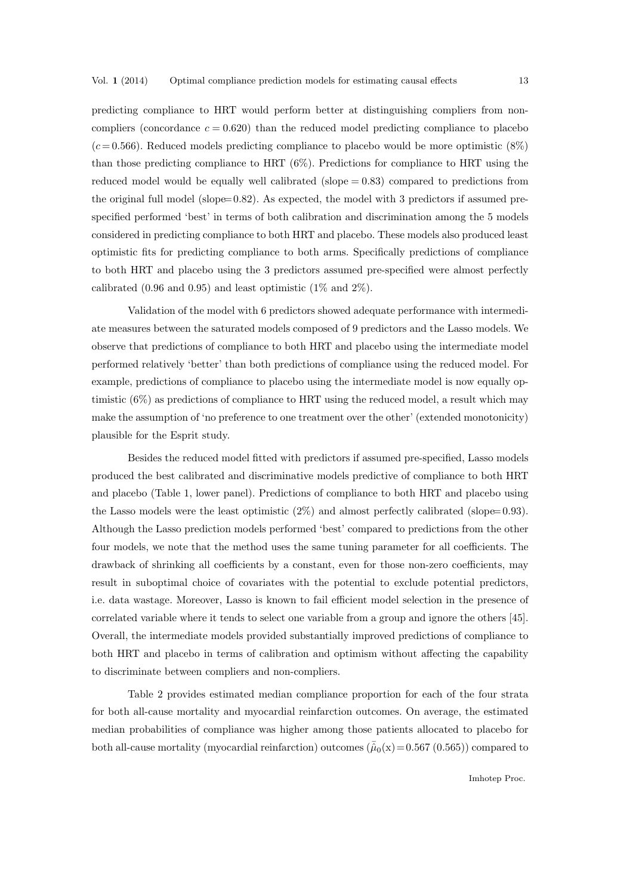predicting compliance to HRT would perform better at distinguishing compliers from noncompliers (concordance  $c = 0.620$ ) than the reduced model predicting compliance to placebo  $(c=0.566)$ . Reduced models predicting compliance to placebo would be more optimistic  $(8\%)$ than those predicting compliance to HRT (6%). Predictions for compliance to HRT using the reduced model would be equally well calibrated (slope  $= 0.83$ ) compared to predictions from the original full model (slope= 0.82). As expected, the model with 3 predictors if assumed prespecified performed 'best' in terms of both calibration and discrimination among the 5 models considered in predicting compliance to both HRT and placebo. These models also produced least optimistic fits for predicting compliance to both arms. Specifically predictions of compliance to both HRT and placebo using the 3 predictors assumed pre-specified were almost perfectly calibrated  $(0.96 \text{ and } 0.95)$  and least optimistic  $(1\% \text{ and } 2\%)$ .

Validation of the model with 6 predictors showed adequate performance with intermediate measures between the saturated models composed of 9 predictors and the Lasso models. We observe that predictions of compliance to both HRT and placebo using the intermediate model performed relatively 'better' than both predictions of compliance using the reduced model. For example, predictions of compliance to placebo using the intermediate model is now equally optimistic (6%) as predictions of compliance to HRT using the reduced model, a result which may make the assumption of 'no preference to one treatment over the other' (extended monotonicity) plausible for the Esprit study.

Besides the reduced model fitted with predictors if assumed pre-specified, Lasso models produced the best calibrated and discriminative models predictive of compliance to both HRT and placebo (Table 1, lower panel). Predictions of compliance to both HRT and placebo using the Lasso models were the least optimistic  $(2\%)$  and almost perfectly calibrated (slope= 0.93). Although the Lasso prediction models performed 'best' compared to predictions from the other four models, we note that the method uses the same tuning parameter for all coefficients. The drawback of shrinking all coefficients by a constant, even for those non-zero coefficients, may result in suboptimal choice of covariates with the potential to exclude potential predictors, i.e. data wastage. Moreover, Lasso is known to fail efficient model selection in the presence of correlated variable where it tends to select one variable from a group and ignore the others [45]. Overall, the intermediate models provided substantially improved predictions of compliance to both HRT and placebo in terms of calibration and optimism without affecting the capability to discriminate between compliers and non-compliers.

Table 2 provides estimated median compliance proportion for each of the four strata for both all-cause mortality and myocardial reinfarction outcomes. On average, the estimated median probabilities of compliance was higher among those patients allocated to placebo for both all-cause mortality (myocardial reinfarction) outcomes ( $\tilde{\mu}_0(x)$ = 0.567 (0.565)) compared to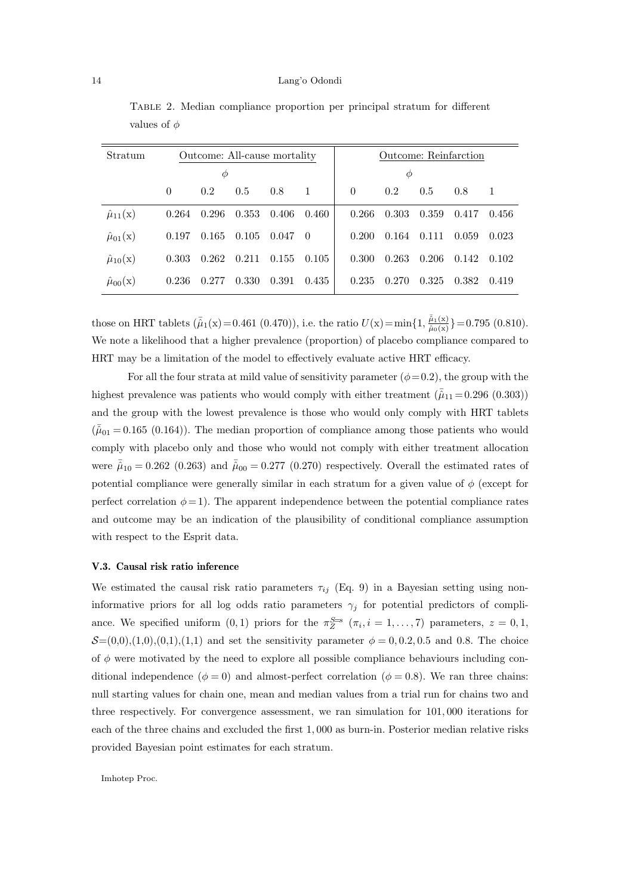| Stratum                      | Outcome: All-cause mortality |       |       |       |                | Outcome: Reinfarction |       |       |       |              |
|------------------------------|------------------------------|-------|-------|-------|----------------|-----------------------|-------|-------|-------|--------------|
| Φ                            |                              |       |       |       | Φ              |                       |       |       |       |              |
|                              | $\theta$                     | 0.2   | 0.5   | 0.8   | $\mathbf{1}$   | $\theta$              | 0.2   | 0.5   | 0.8   | $\mathbf{1}$ |
| $\hat{\mu}_{11}(\mathbf{x})$ | 0.264                        | 0.296 | 0.353 | 0.406 | 0.460          | 0.266                 | 0.303 | 0.359 | 0.417 | 0.456        |
| $\hat{\mu}_{01}(\text{x})$   | 0.197                        | 0.165 | 0.105 | 0.047 | $\overline{0}$ | 0.200                 | 0.164 | 0.111 | 0.059 | 0.023        |
| $\hat{\mu}_{10}(\text{x})$   | 0.303                        | 0.262 | 0.211 | 0.155 | 0.105          | 0.300                 | 0.263 | 0.206 | 0.142 | 0.102        |
| $\hat{\mu}_{00}(\text{x})$   | 0.236                        | 0.277 | 0.330 | 0.391 | 0.435          | 0.235                 | 0.270 | 0.325 | 0.382 | 0.419        |

Table 2. Median compliance proportion per principal stratum for different values of  $\phi$ 

those on HRT tablets  $(\bar{\hat{\mu}}_1(x)=0.461~(0.470))$ , i.e. the ratio  $U(x) = \min\{1, \frac{\bar{\hat{\mu}}_1(x)}{\bar{\hat{\mu}}_0(x)}\} = 0.795~(0.810)$ . We note a likelihood that a higher prevalence (proportion) of placebo compliance compared to HRT may be a limitation of the model to effectively evaluate active HRT efficacy.

For all the four strata at mild value of sensitivity parameter  $(\phi = 0.2)$ , the group with the highest prevalence was patients who would comply with either treatment  $(\bar{\hat{\mu}}_{11} = 0.296 (0.303))$ and the group with the lowest prevalence is those who would only comply with HRT tablets  $(\bar{\hat{\mu}}_{01} = 0.165 \,(0.164))$ . The median proportion of compliance among those patients who would comply with placebo only and those who would not comply with either treatment allocation were  $\bar{\hat{\mu}}_{10} = 0.262$  (0.263) and  $\bar{\hat{\mu}}_{00} = 0.277$  (0.270) respectively. Overall the estimated rates of potential compliance were generally similar in each stratum for a given value of  $\phi$  (except for perfect correlation  $\phi = 1$ ). The apparent independence between the potential compliance rates and outcome may be an indication of the plausibility of conditional compliance assumption with respect to the Esprit data.

# V.3. Causal risk ratio inference

We estimated the causal risk ratio parameters  $\tau_{ij}$  (Eq. 9) in a Bayesian setting using noninformative priors for all log odds ratio parameters  $\gamma_j$  for potential predictors of compliance. We specified uniform  $(0,1)$  priors for the  $\pi_Z^{S=s}$   $(\pi_i, i = 1, \ldots, 7)$  parameters,  $z = 0, 1$ ,  $S=(0,0), (1,0), (0,1), (1,1)$  and set the sensitivity parameter  $\phi = 0, 0.2, 0.5$  and 0.8. The choice of  $\phi$  were motivated by the need to explore all possible compliance behaviours including conditional independence ( $\phi = 0$ ) and almost-perfect correlation ( $\phi = 0.8$ ). We ran three chains: null starting values for chain one, mean and median values from a trial run for chains two and three respectively. For convergence assessment, we ran simulation for 101, 000 iterations for each of the three chains and excluded the first 1, 000 as burn-in. Posterior median relative risks provided Bayesian point estimates for each stratum.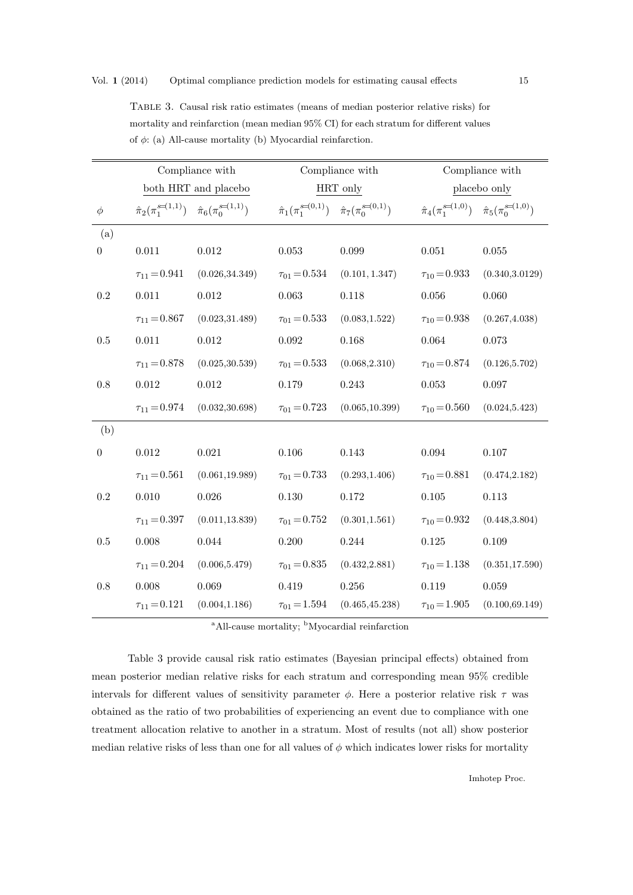## Vol. 1 (2014) Optimal compliance prediction models for estimating causal effects 15

| of $\phi$ : (a) All-cause mortality (b) Myocardial reinfarction. |                      |                                                                                       |                                                                                       |                                    |                                                                                       |                 |  |  |
|------------------------------------------------------------------|----------------------|---------------------------------------------------------------------------------------|---------------------------------------------------------------------------------------|------------------------------------|---------------------------------------------------------------------------------------|-----------------|--|--|
|                                                                  | Compliance with      |                                                                                       |                                                                                       | Compliance with                    | Compliance with                                                                       |                 |  |  |
|                                                                  | both HRT and placebo |                                                                                       |                                                                                       | HRT only                           | placebo only                                                                          |                 |  |  |
| φ                                                                |                      | $\hat{\pi}_2(\pi_1^{\mathcal{S}=(1,1)}) \quad \hat{\pi}_6(\pi_0^{\mathcal{S}=(1,1)})$ | $\hat{\pi}_1(\pi_1^{\mathcal{S}=(0,1)}) \quad \hat{\pi}_7(\pi_0^{\mathcal{S}=(0,1)})$ |                                    | $\hat{\pi}_4(\pi_1^{\mathcal{S}=(1,0)}) \quad \hat{\pi}_5(\pi_0^{\mathcal{S}=(1,0)})$ |                 |  |  |
| $\left( \mathrm{a}\right)$                                       |                      |                                                                                       |                                                                                       |                                    |                                                                                       |                 |  |  |
| 0                                                                | 0.011                | 0.012                                                                                 | 0.053                                                                                 | 0.099                              | 0.051                                                                                 | 0.055           |  |  |
|                                                                  | $\tau_{11} = 0.941$  | (0.026, 34.349)                                                                       |                                                                                       | $\tau_{01} = 0.534$ (0.101, 1.347) | $\tau_{10} = 0.933$                                                                   | (0.340, 3.0129) |  |  |
| $0.2\,$                                                          | 0.011                | 0.012                                                                                 | 0.063                                                                                 | 0.118                              | 0.056                                                                                 | 0.060           |  |  |

Table 3. Causal risk ratio estimates (means of median posterior relative risks) for mortality and reinfarction (mean median 95% CI) for each stratum for different values of  $\phi$ : (a) All-cause mortality (b) Myoc

|                  | $\tau_{11} = 0.867$ | (0.023, 31.489) | $\tau_{01} = 0.533$ | (0.083, 1.522)  | $\tau_{10} = 0.938$ | (0.267, 4.038)  |
|------------------|---------------------|-----------------|---------------------|-----------------|---------------------|-----------------|
| $0.5\,$          | 0.011               | 0.012           | 0.092               | 0.168           | 0.064               | 0.073           |
|                  | $\tau_{11} = 0.878$ | (0.025, 30.539) | $\tau_{01} = 0.533$ | (0.068, 2.310)  | $\tau_{10} = 0.874$ | (0.126, 5.702)  |
| 0.8              | 0.012               | 0.012           | 0.179               | 0.243           | 0.053               | 0.097           |
|                  | $\tau_{11} = 0.974$ | (0.032, 30.698) | $\tau_{01} = 0.723$ | (0.065, 10.399) | $\tau_{10} = 0.560$ | (0.024, 5.423)  |
| (b)              |                     |                 |                     |                 |                     |                 |
| $\boldsymbol{0}$ | 0.012               | 0.021           | 0.106               | 0.143           | 0.094               | 0.107           |
|                  | $\tau_{11} = 0.561$ | (0.061, 19.989) | $\tau_{01} = 0.733$ | (0.293, 1.406)  | $\tau_{10} = 0.881$ | (0.474, 2.182)  |
| $\rm 0.2$        | 0.010               | 0.026           | 0.130               | 0.172           | 0.105               | 0.113           |
|                  | $\tau_{11} = 0.397$ | (0.011, 13.839) | $\tau_{01} = 0.752$ | (0.301, 1.561)  | $\tau_{10} = 0.932$ | (0.448, 3.804)  |
| 0.5              | 0.008               | 0.044           | 0.200               | 0.244           | 0.125               | 0.109           |
|                  | $\tau_{11} = 0.204$ | (0.006, 5.479)  | $\tau_{01} = 0.835$ | (0.432, 2.881)  | $\tau_{10} = 1.138$ | (0.351, 17.590) |
| 0.8              | 0.008               | 0.069           | 0.419               | 0.256           | 0.119               | 0.059           |
|                  | $\tau_{11} = 0.121$ | (0.004, 1.186)  | $\tau_{01} = 1.594$ | (0.465, 45.238) | $\tau_{10} = 1.905$ | (0.100, 69.149) |

<sup>a</sup>All-cause mortality; <sup>b</sup>Myocardial reinfarction

Table 3 provide causal risk ratio estimates (Bayesian principal effects) obtained from mean posterior median relative risks for each stratum and corresponding mean 95% credible intervals for different values of sensitivity parameter  $\phi$ . Here a posterior relative risk  $\tau$  was obtained as the ratio of two probabilities of experiencing an event due to compliance with one treatment allocation relative to another in a stratum. Most of results (not all) show posterior median relative risks of less than one for all values of  $\phi$  which indicates lower risks for mortality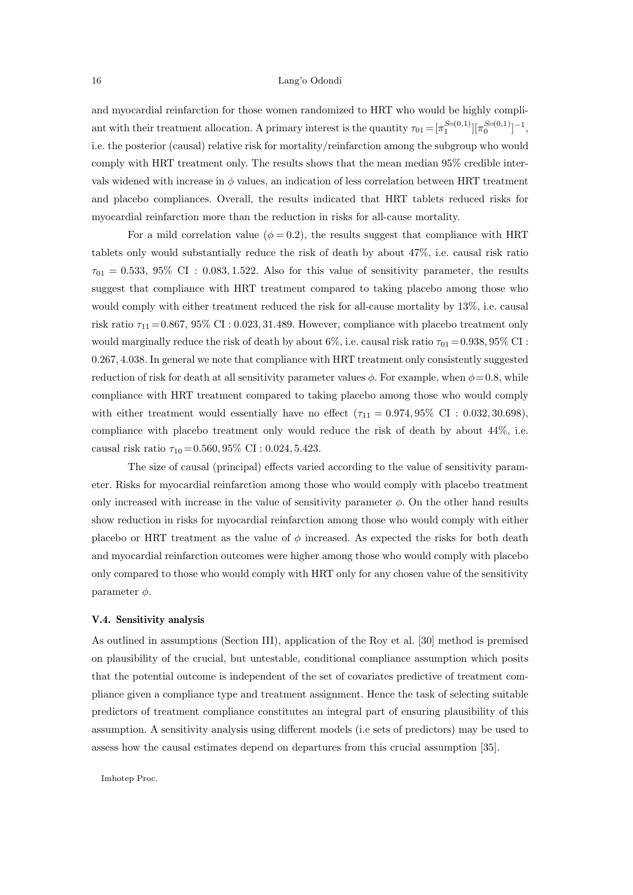and myocardial reinfarction for those women randomized to HRT who would be highly compliant with their treatment allocation. A primary interest is the quantity  $\tau_{01} = [\pi_1^{S=(0,1)}][\pi_0^{S=(0,1)}]^{-1}$ , i.e. the posterior (causal) relative risk for mortality/reinfarction among the subgroup who would comply with HRT treatment only. The results shows that the mean median 95% credible intervals widened with increase in  $\phi$  values, an indication of less correlation between HRT treatment and placebo compliances. Overall, the results indicated that HRT tablets reduced risks for myocardial reinfarction more than the reduction in risks for all-cause mortality.

For a mild correlation value ( $\phi = 0.2$ ), the results suggest that compliance with HRT tablets only would substantially reduce the risk of death by about 47%, i.e. causal risk ratio  $\tau_{01} = 0.533, 95\%$  CI : 0.083, 1.522. Also for this value of sensitivity parameter, the results suggest that compliance with HRT treatment compared to taking placebo among those who would comply with either treatment reduced the risk for all-cause mortality by 13%, i.e. causal risk ratio  $\tau_{11} = 0.867, 95\% \text{ CI} : 0.023, 31.489.$  However, compliance with placebo treatment only would marginally reduce the risk of death by about 6%, i.e. causal risk ratio  $\tau_{01} = 0.938, 95\%$  CI : 0.267, 4.038. In general we note that compliance with HRT treatment only consistently suggested reduction of risk for death at all sensitivity parameter values  $\phi$ . For example, when  $\phi = 0.8$ , while compliance with HRT treatment compared to taking placebo among those who would comply with either treatment would essentially have no effect  $(\tau_{11} = 0.974, 95\% \text{ CI} : 0.032, 30.698)$ , compliance with placebo treatment only would reduce the risk of death by about 44%, i.e. causal risk ratio  $\tau_{10} = 0.560, 95\% \text{ CI} : 0.024, 5.423.$ 

The size of causal (principal) effects varied according to the value of sensitivity parameter. Risks for myocardial reinfarction among those who would comply with placebo treatment only increased with increase in the value of sensitivity parameter  $\phi$ . On the other hand results show reduction in risks for myocardial reinfarction among those who would comply with either placebo or HRT treatment as the value of  $\phi$  increased. As expected the risks for both death and myocardial reinfarction outcomes were higher among those who would comply with placebo only compared to those who would comply with HRT only for any chosen value of the sensitivity parameter  $\phi$ .

## V.4. Sensitivity analysis

As outlined in assumptions (Section III), application of the Roy et al. [30] method is premised on plausibility of the crucial, but untestable, conditional compliance assumption which posits that the potential outcome is independent of the set of covariates predictive of treatment compliance given a compliance type and treatment assignment. Hence the task of selecting suitable predictors of treatment compliance constitutes an integral part of ensuring plausibility of this assumption. A sensitivity analysis using different models (i.e sets of predictors) may be used to assess how the causal estimates depend on departures from this crucial assumption [35].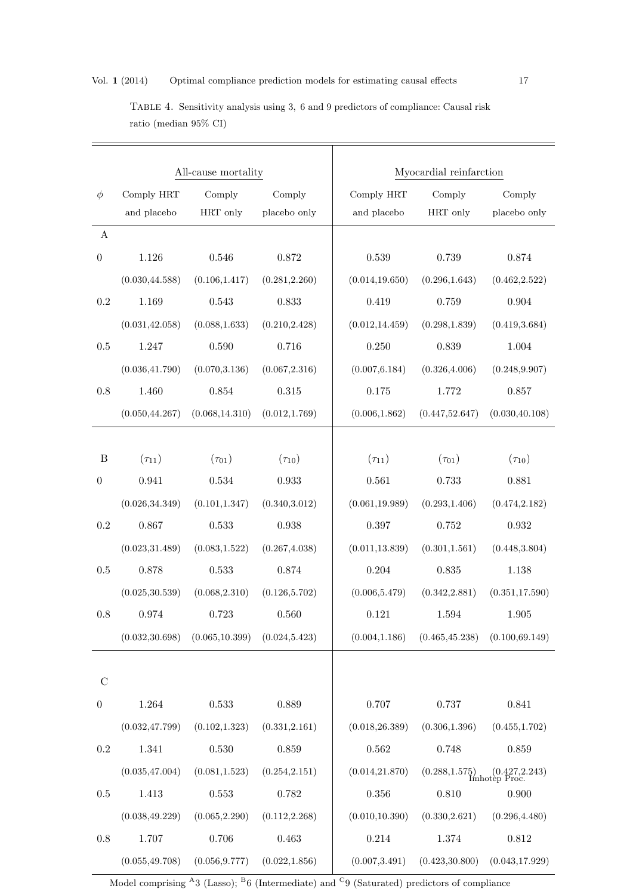|                  |                 | All-cause mortality |                | Myocardial reinfarction |                 |                                   |  |
|------------------|-----------------|---------------------|----------------|-------------------------|-----------------|-----------------------------------|--|
| $\phi$           | Comply HRT      | Comply              | Comply         | Comply HRT              | Comply          | Comply                            |  |
|                  | and placebo     | HRT only            | placebo only   | and placebo             | HRT only        | placebo only                      |  |
| $\boldsymbol{A}$ |                 |                     |                |                         |                 |                                   |  |
| $\boldsymbol{0}$ | 1.126           | 0.546               | 0.872          | 0.539                   | 0.739           | 0.874                             |  |
|                  | (0.030, 44.588) | (0.106, 1.417)      | (0.281, 2.260) | (0.014, 19.650)         | (0.296, 1.643)  | (0.462, 2.522)                    |  |
| 0.2              | 1.169           | 0.543               | 0.833          | 0.419                   | 0.759           | 0.904                             |  |
|                  | (0.031, 42.058) | (0.088, 1.633)      | (0.210, 2.428) | (0.012, 14.459)         | (0.298, 1.839)  | (0.419, 3.684)                    |  |
| 0.5              | 1.247           | 0.590               | 0.716          | 0.250                   | 0.839           | 1.004                             |  |
|                  | (0.036, 41.790) | (0.070, 3.136)      | (0.067, 2.316) | (0.007, 6.184)          | (0.326, 4.006)  | (0.248, 9.907)                    |  |
| 0.8              | 1.460           | 0.854               | 0.315          | 0.175                   | 1.772           | 0.857                             |  |
|                  | (0.050, 44.267) | (0.068, 14.310)     | (0.012, 1.769) | (0.006, 1.862)          | (0.447, 52.647) | (0.030, 40.108)                   |  |
|                  |                 |                     |                |                         |                 |                                   |  |
| $\, {\bf B}$     | $(\tau_{11})$   | $(\tau_{01})$       | $(\tau_{10})$  | $(\tau_{11})$           | $(\tau_{01})$   | $(\tau_{10})$                     |  |
| $\boldsymbol{0}$ | 0.941           | 0.534               | 0.933          | 0.561                   | 0.733           | 0.881                             |  |
|                  | (0.026, 34.349) | (0.101, 1.347)      | (0.340, 3.012) | (0.061, 19.989)         | (0.293, 1.406)  | (0.474, 2.182)                    |  |
| 0.2              | 0.867           | 0.533               | 0.938          | 0.397                   | 0.752           | 0.932                             |  |
|                  | (0.023, 31.489) | (0.083, 1.522)      | (0.267, 4.038) | (0.011, 13.839)         | (0.301, 1.561)  | (0.448, 3.804)                    |  |
| 0.5              | 0.878           | 0.533               | 0.874          | 0.204                   | 0.835           | 1.138                             |  |
|                  | (0.025, 30.539) | (0.068, 2.310)      | (0.126, 5.702) | (0.006, 5.479)          | (0.342, 2.881)  | (0.351, 17.590)                   |  |
| 0.8              | 0.974           | 0.723               | 0.560          | 0.121                   | 1.594           | 1.905                             |  |
|                  | (0.032, 30.698) | (0.065, 10.399)     | (0.024, 5.423) | (0.004, 1.186)          | (0.465, 45.238) | (0.100, 69.149)                   |  |
|                  |                 |                     |                |                         |                 |                                   |  |
| $\mathcal{C}$    |                 |                     |                |                         |                 |                                   |  |
| $\boldsymbol{0}$ | 1.264           | 0.533               | 0.889          | $0.707\,$               | 0.737           | 0.841                             |  |
|                  | (0.032, 47.799) | (0.102, 1.323)      | (0.331, 2.161) | (0.018, 26.389)         | (0.306, 1.396)  | (0.455, 1.702)                    |  |
| 0.2              | 1.341           | 0.530               | 0.859          | 0.562                   | 0.748           | 0.859                             |  |
|                  | (0.035, 47.004) | (0.081, 1.523)      | (0.254, 2.151) | (0.014, 21.870)         | (0.288, 1.575)  | 5) (0.427,2.243)<br>Imhotep Proc. |  |
| 0.5              | 1.413           | $\,0.553\,$         | 0.782          | $0.356\,$               | 0.810           | 0.900                             |  |
|                  | (0.038, 49.229) | (0.065, 2.290)      | (0.112, 2.268) | (0.010, 10.390)         | (0.330, 2.621)  | (0.296, 4.480)                    |  |
| 0.8              | 1.707           | 0.706               | 0.463          | $0.214\,$               | 1.374           | 0.812                             |  |
|                  | (0.055, 49.708) | (0.056, 9.777)      | (0.022, 1.856) | (0.007, 3.491)          | (0.423, 30.800) | (0.043, 17.929)                   |  |

Table 4. Sensitivity analysis using 3, 6 and 9 predictors of compliance: Causal risk ratio (median 95% CI)

Model comprising  $^{A}3$  (Lasso);  $^{B}6$  (Intermediate) and <sup>C</sup>9 (Saturated) predictors of compliance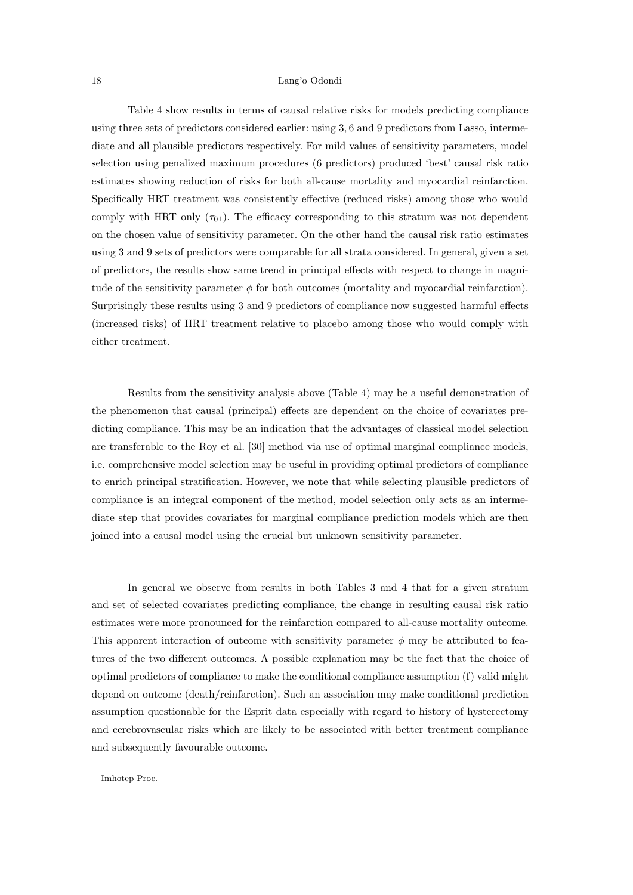Table 4 show results in terms of causal relative risks for models predicting compliance using three sets of predictors considered earlier: using 3, 6 and 9 predictors from Lasso, intermediate and all plausible predictors respectively. For mild values of sensitivity parameters, model selection using penalized maximum procedures (6 predictors) produced 'best' causal risk ratio estimates showing reduction of risks for both all-cause mortality and myocardial reinfarction. Specifically HRT treatment was consistently effective (reduced risks) among those who would comply with HRT only  $(\tau_{01})$ . The efficacy corresponding to this stratum was not dependent on the chosen value of sensitivity parameter. On the other hand the causal risk ratio estimates using 3 and 9 sets of predictors were comparable for all strata considered. In general, given a set of predictors, the results show same trend in principal effects with respect to change in magnitude of the sensitivity parameter  $\phi$  for both outcomes (mortality and myocardial reinfarction). Surprisingly these results using 3 and 9 predictors of compliance now suggested harmful effects (increased risks) of HRT treatment relative to placebo among those who would comply with either treatment.

Results from the sensitivity analysis above (Table 4) may be a useful demonstration of the phenomenon that causal (principal) effects are dependent on the choice of covariates predicting compliance. This may be an indication that the advantages of classical model selection are transferable to the Roy et al. [30] method via use of optimal marginal compliance models, i.e. comprehensive model selection may be useful in providing optimal predictors of compliance to enrich principal stratification. However, we note that while selecting plausible predictors of compliance is an integral component of the method, model selection only acts as an intermediate step that provides covariates for marginal compliance prediction models which are then joined into a causal model using the crucial but unknown sensitivity parameter.

In general we observe from results in both Tables 3 and 4 that for a given stratum and set of selected covariates predicting compliance, the change in resulting causal risk ratio estimates were more pronounced for the reinfarction compared to all-cause mortality outcome. This apparent interaction of outcome with sensitivity parameter  $\phi$  may be attributed to features of the two different outcomes. A possible explanation may be the fact that the choice of optimal predictors of compliance to make the conditional compliance assumption (f) valid might depend on outcome (death/reinfarction). Such an association may make conditional prediction assumption questionable for the Esprit data especially with regard to history of hysterectomy and cerebrovascular risks which are likely to be associated with better treatment compliance and subsequently favourable outcome.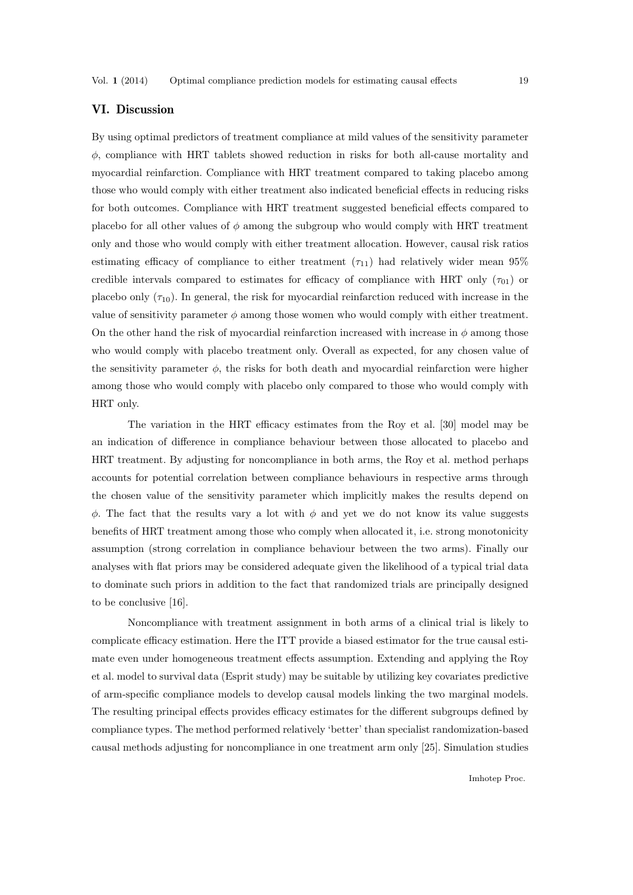# VI. Discussion

By using optimal predictors of treatment compliance at mild values of the sensitivity parameter  $\phi$ , compliance with HRT tablets showed reduction in risks for both all-cause mortality and myocardial reinfarction. Compliance with HRT treatment compared to taking placebo among those who would comply with either treatment also indicated beneficial effects in reducing risks for both outcomes. Compliance with HRT treatment suggested beneficial effects compared to placebo for all other values of  $\phi$  among the subgroup who would comply with HRT treatment only and those who would comply with either treatment allocation. However, causal risk ratios estimating efficacy of compliance to either treatment  $(\tau_{11})$  had relatively wider mean 95% credible intervals compared to estimates for efficacy of compliance with HRT only  $(\tau_{01})$  or placebo only  $(\tau_{10})$ . In general, the risk for myocardial reinfarction reduced with increase in the value of sensitivity parameter  $\phi$  among those women who would comply with either treatment. On the other hand the risk of myocardial reinfarction increased with increase in  $\phi$  among those who would comply with placebo treatment only. Overall as expected, for any chosen value of the sensitivity parameter  $\phi$ , the risks for both death and myocardial reinfarction were higher among those who would comply with placebo only compared to those who would comply with HRT only.

The variation in the HRT efficacy estimates from the Roy et al. [30] model may be an indication of difference in compliance behaviour between those allocated to placebo and HRT treatment. By adjusting for noncompliance in both arms, the Roy et al. method perhaps accounts for potential correlation between compliance behaviours in respective arms through the chosen value of the sensitivity parameter which implicitly makes the results depend on  $\phi$ . The fact that the results vary a lot with  $\phi$  and yet we do not know its value suggests benefits of HRT treatment among those who comply when allocated it, i.e. strong monotonicity assumption (strong correlation in compliance behaviour between the two arms). Finally our analyses with flat priors may be considered adequate given the likelihood of a typical trial data to dominate such priors in addition to the fact that randomized trials are principally designed to be conclusive [16].

Noncompliance with treatment assignment in both arms of a clinical trial is likely to complicate efficacy estimation. Here the ITT provide a biased estimator for the true causal estimate even under homogeneous treatment effects assumption. Extending and applying the Roy et al. model to survival data (Esprit study) may be suitable by utilizing key covariates predictive of arm-specific compliance models to develop causal models linking the two marginal models. The resulting principal effects provides efficacy estimates for the different subgroups defined by compliance types. The method performed relatively 'better' than specialist randomization-based causal methods adjusting for noncompliance in one treatment arm only [25]. Simulation studies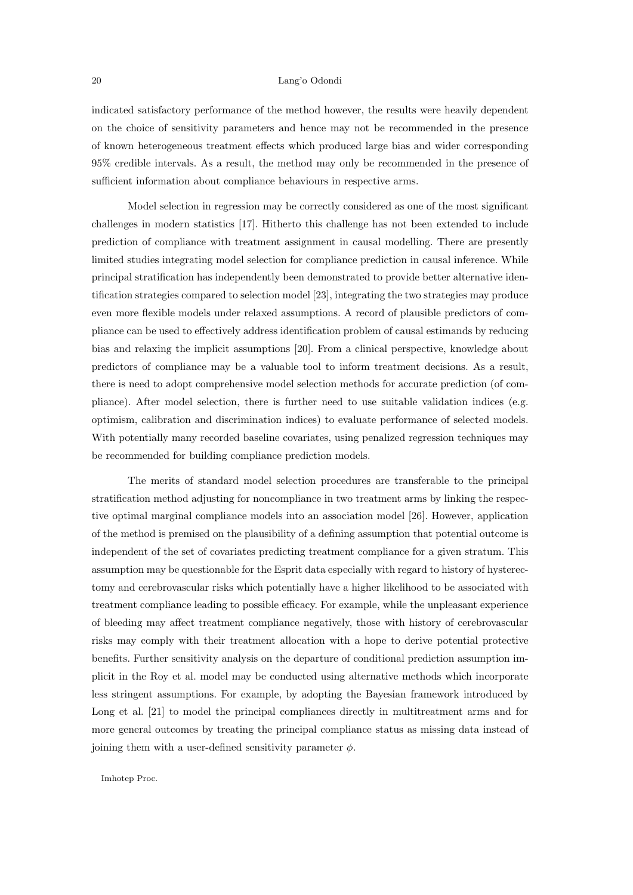indicated satisfactory performance of the method however, the results were heavily dependent on the choice of sensitivity parameters and hence may not be recommended in the presence of known heterogeneous treatment effects which produced large bias and wider corresponding 95% credible intervals. As a result, the method may only be recommended in the presence of sufficient information about compliance behaviours in respective arms.

Model selection in regression may be correctly considered as one of the most significant challenges in modern statistics [17]. Hitherto this challenge has not been extended to include prediction of compliance with treatment assignment in causal modelling. There are presently limited studies integrating model selection for compliance prediction in causal inference. While principal stratification has independently been demonstrated to provide better alternative identification strategies compared to selection model [23], integrating the two strategies may produce even more flexible models under relaxed assumptions. A record of plausible predictors of compliance can be used to effectively address identification problem of causal estimands by reducing bias and relaxing the implicit assumptions [20]. From a clinical perspective, knowledge about predictors of compliance may be a valuable tool to inform treatment decisions. As a result, there is need to adopt comprehensive model selection methods for accurate prediction (of compliance). After model selection, there is further need to use suitable validation indices (e.g. optimism, calibration and discrimination indices) to evaluate performance of selected models. With potentially many recorded baseline covariates, using penalized regression techniques may be recommended for building compliance prediction models.

The merits of standard model selection procedures are transferable to the principal stratification method adjusting for noncompliance in two treatment arms by linking the respective optimal marginal compliance models into an association model [26]. However, application of the method is premised on the plausibility of a defining assumption that potential outcome is independent of the set of covariates predicting treatment compliance for a given stratum. This assumption may be questionable for the Esprit data especially with regard to history of hysterectomy and cerebrovascular risks which potentially have a higher likelihood to be associated with treatment compliance leading to possible efficacy. For example, while the unpleasant experience of bleeding may affect treatment compliance negatively, those with history of cerebrovascular risks may comply with their treatment allocation with a hope to derive potential protective benefits. Further sensitivity analysis on the departure of conditional prediction assumption implicit in the Roy et al. model may be conducted using alternative methods which incorporate less stringent assumptions. For example, by adopting the Bayesian framework introduced by Long et al. [21] to model the principal compliances directly in multitreatment arms and for more general outcomes by treating the principal compliance status as missing data instead of joining them with a user-defined sensitivity parameter  $\phi$ .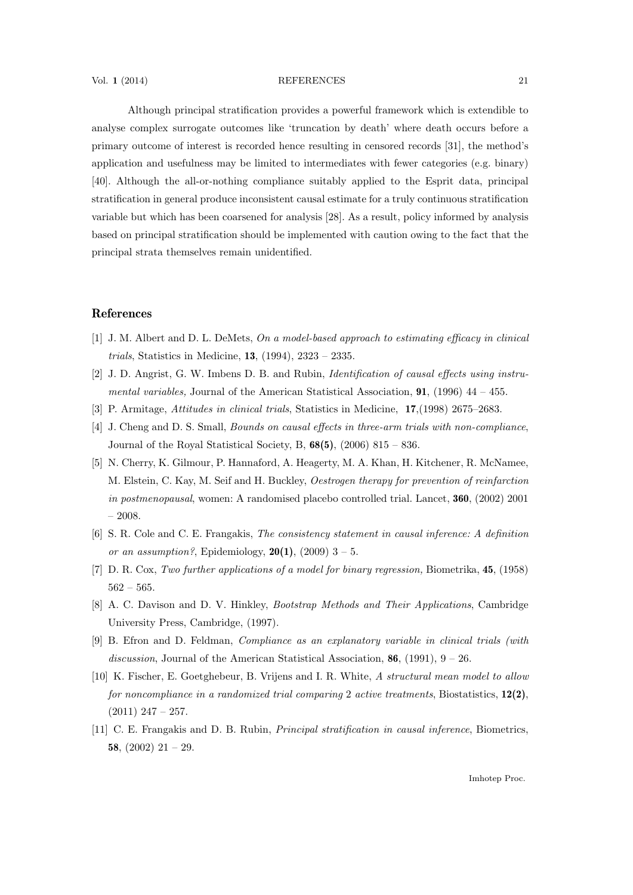## Vol. 1 (2014) REFERENCES 21

Although principal stratification provides a powerful framework which is extendible to analyse complex surrogate outcomes like 'truncation by death' where death occurs before a primary outcome of interest is recorded hence resulting in censored records [31], the method's application and usefulness may be limited to intermediates with fewer categories (e.g. binary) [40]. Although the all-or-nothing compliance suitably applied to the Esprit data, principal stratification in general produce inconsistent causal estimate for a truly continuous stratification variable but which has been coarsened for analysis [28]. As a result, policy informed by analysis based on principal stratification should be implemented with caution owing to the fact that the principal strata themselves remain unidentified.

# References

- [1] J. M. Albert and D. L. DeMets, On a model-based approach to estimating efficacy in clinical trials, Statistics in Medicine, 13, (1994), 2323 – 2335.
- [2] J. D. Angrist, G. W. Imbens D. B. and Rubin, Identification of causal effects using instrumental variables, Journal of the American Statistical Association,  $91$ , (1996) 44 – 455.
- [3] P. Armitage, Attitudes in clinical trials, Statistics in Medicine, 17,(1998) 2675–2683.
- [4] J. Cheng and D. S. Small, *Bounds on causal effects in three-arm trials with non-compliance*, Journal of the Royal Statistical Society, B,  $68(5)$ ,  $(2006)$   $815 - 836$ .
- [5] N. Cherry, K. Gilmour, P. Hannaford, A. Heagerty, M. A. Khan, H. Kitchener, R. McNamee, M. Elstein, C. Kay, M. Seif and H. Buckley, Oestrogen therapy for prevention of reinfarction in postmenopausal, women: A randomised placebo controlled trial. Lancet, 360, (2002) 2001  $-2008.$
- [6] S. R. Cole and C. E. Frangakis, The consistency statement in causal inference: A definition or an assumption?, Epidemiology,  $20(1)$ ,  $(2009)$  3 – 5.
- [7] D. R. Cox, Two further applications of a model for binary regression, Biometrika, 45, (1958)  $562 - 565.$
- [8] A. C. Davison and D. V. Hinkley, Bootstrap Methods and Their Applications, Cambridge University Press, Cambridge, (1997).
- [9] B. Efron and D. Feldman, Compliance as an explanatory variable in clinical trials (with discussion, Journal of the American Statistical Association,  $86$ , (1991),  $9 - 26$ .
- [10] K. Fischer, E. Goetghebeur, B. Vrijens and I. R. White, A structural mean model to allow for noncompliance in a randomized trial comparing 2 active treatments, Biostatistics,  $12(2)$ ,  $(2011)$  247 – 257.
- [11] C. E. Frangakis and D. B. Rubin, Principal stratification in causal inference, Biometrics, 58,  $(2002)$  21 – 29.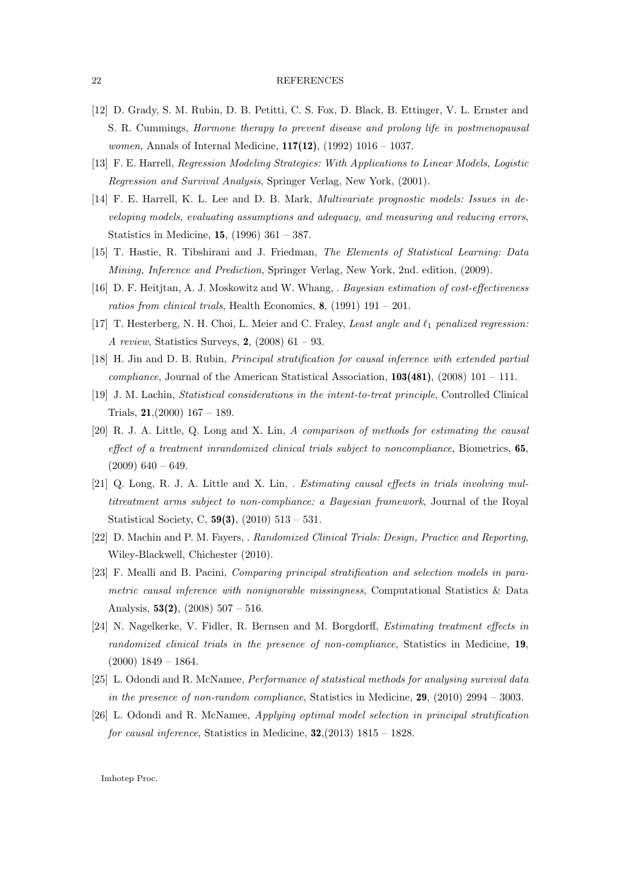### 22 REFERENCES

- [12] D. Grady, S. M. Rubin, D. B. Petitti, C. S. Fox, D. Black, B. Ettinger, V. L. Ernster and S. R. Cummings, Hormone therapy to prevent disease and prolong life in postmenopausal women, Annals of Internal Medicine, **117(12)**, (1992) 1016 – 1037.
- [13] F. E. Harrell, Regression Modeling Strategies: With Applications to Linear Models, Logistic Regression and Survival Analysis, Springer Verlag, New York, (2001).
- [14] F. E. Harrell, K. L. Lee and D. B. Mark, Multivariate prognostic models: Issues in developing models, evaluating assumptions and adequacy, and measuring and reducing errors, Statistics in Medicine, 15, (1996) 361 – 387.
- [15] T. Hastie, R. Tibshirani and J. Friedman, The Elements of Statistical Learning: Data Mining, Inference and Prediction, Springer Verlag, New York, 2nd. edition, (2009).
- [16] D. F. Heitjtan, A. J. Moskowitz and W. Whang, . Bayesian estimation of cost-effectiveness ratios from clinical trials, Health Economics,  $\mathbf{8}$ , (1991) 191 – 201.
- [17] T. Hesterberg, N. H. Choi, L. Meier and C. Fraley, Least angle and  $\ell_1$  penalized regression: A review, Statistics Surveys, 2, (2008) 61 – 93.
- [18] H. Jin and D. B. Rubin, Principal stratification for causal inference with extended partial *compliance*, Journal of the American Statistical Association,  $103(481)$ ,  $(2008)$  101 – 111.
- [19] J. M. Lachin, Statistical considerations in the intent-to-treat principle, Controlled Clinical Trials,  $21,(2000)$  167 – 189.
- [20] R. J. A. Little, Q. Long and X. Lin, A comparison of methods for estimating the causal effect of a treatment inrandomized clinical trials subject to noncompliance, Biometrics, 65,  $(2009)$  640 – 649.
- [21] Q. Long, R. J. A. Little and X. Lin, . Estimating causal effects in trials involving multitreatment arms subject to non-compliance: a Bayesian framework, Journal of the Royal Statistical Society, C, 59(3), (2010) 513 – 531.
- [22] D. Machin and P. M. Fayers, . Randomized Clinical Trials: Design, Practice and Reporting, Wiley-Blackwell, Chichester (2010).
- [23] F. Mealli and B. Pacini, Comparing principal stratification and selection models in parametric causal inference with nonignorable missingness, Computational Statistics & Data Analysis,  $53(2)$ ,  $(2008)$  507 – 516.
- [24] N. Nagelkerke, V. Fidler, R. Bernsen and M. Borgdorff, Estimating treatment effects in randomized clinical trials in the presence of non-compliance, Statistics in Medicine, 19,  $(2000)$  1849 – 1864.
- [25] L. Odondi and R. McNamee, Performance of statistical methods for analysing survival data in the presence of non-random compliance, Statistics in Medicine,  $29$ , (2010) 2994 – 3003.
- [26] L. Odondi and R. McNamee, Applying optimal model selection in principal stratification for causal inference, Statistics in Medicine,  $32,(2013)$  1815 – 1828.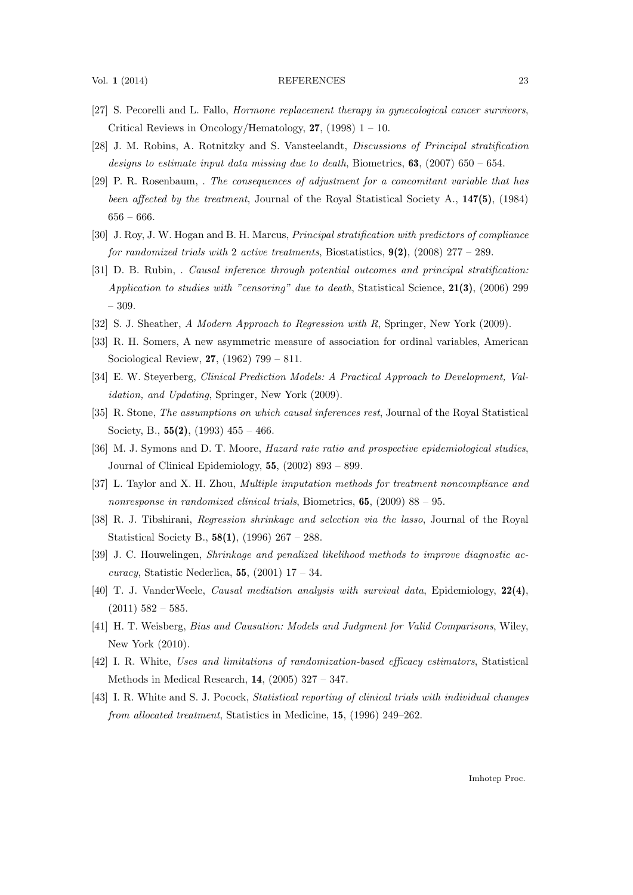## Vol. 1 (2014) REFERENCES 23

- [27] S. Pecorelli and L. Fallo, Hormone replacement therapy in gynecological cancer survivors, Critical Reviews in Oncology/Hematology,  $27$ , (1998) 1 – 10.
- [28] J. M. Robins, A. Rotnitzky and S. Vansteelandt, Discussions of Principal stratification designs to estimate input data missing due to death, Biometrics,  $63$ ,  $(2007)$  650 – 654.
- [29] P. R. Rosenbaum, . The consequences of adjustment for a concomitant variable that has been affected by the treatment, Journal of the Royal Statistical Society A., 147(5), (1984)  $656 - 666.$
- [30] J. Roy, J. W. Hogan and B. H. Marcus, Principal stratification with predictors of compliance for randomized trials with 2 active treatments, Biostatistics,  $9(2)$ ,  $(2008)$  277 – 289.
- [31] D. B. Rubin, . Causal inference through potential outcomes and principal stratification: Application to studies with "censoring" due to death, Statistical Science,  $21(3)$ , (2006) 299 – 309.
- [32] S. J. Sheather, A Modern Approach to Regression with R, Springer, New York (2009).
- [33] R. H. Somers, A new asymmetric measure of association for ordinal variables, American Sociological Review, 27, (1962) 799 – 811.
- [34] E. W. Steyerberg, Clinical Prediction Models: A Practical Approach to Development, Validation, and Updating, Springer, New York (2009).
- [35] R. Stone, *The assumptions on which causal inferences rest*, Journal of the Royal Statistical Society, B.,  $55(2)$ ,  $(1993)$   $455 - 466$ .
- [36] M. J. Symons and D. T. Moore, Hazard rate ratio and prospective epidemiological studies, Journal of Clinical Epidemiology,  $55$ ,  $(2002)$  893 – 899.
- [37] L. Taylor and X. H. Zhou, Multiple imputation methods for treatment noncompliance and nonresponse in randomized clinical trials, Biometrics, 65, (2009) 88 – 95.
- [38] R. J. Tibshirani, Regression shrinkage and selection via the lasso, Journal of the Royal Statistical Society B., 58(1), (1996) 267 – 288.
- [39] J. C. Houwelingen, Shrinkage and penalized likelihood methods to improve diagnostic accuracy, Statistic Nederlica, 55,  $(2001)$  17 – 34.
- [40] T. J. VanderWeele, Causal mediation analysis with survival data, Epidemiology, 22(4),  $(2011)$  582 – 585.
- [41] H. T. Weisberg, Bias and Causation: Models and Judgment for Valid Comparisons, Wiley, New York (2010).
- [42] I. R. White, Uses and limitations of randomization-based efficacy estimators, Statistical Methods in Medical Research, 14, (2005) 327 – 347.
- [43] I. R. White and S. J. Pocock, Statistical reporting of clinical trials with individual changes from allocated treatment, Statistics in Medicine, 15, (1996) 249–262.